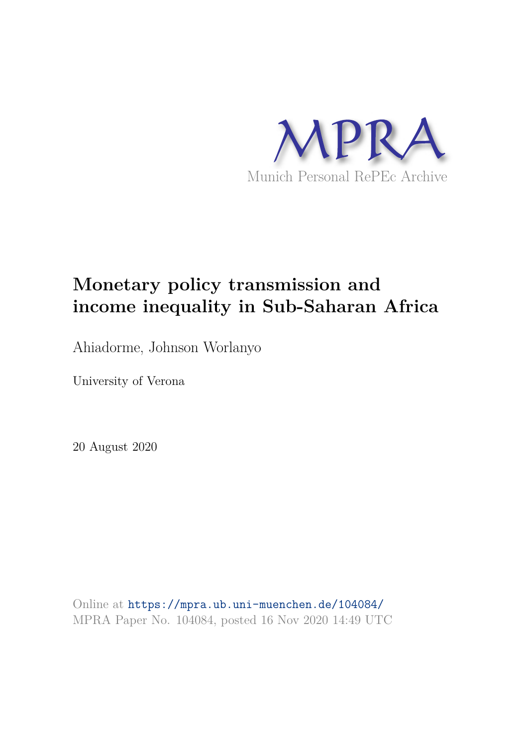

# **Monetary policy transmission and income inequality in Sub-Saharan Africa**

Ahiadorme, Johnson Worlanyo

University of Verona

20 August 2020

Online at https://mpra.ub.uni-muenchen.de/104084/ MPRA Paper No. 104084, posted 16 Nov 2020 14:49 UTC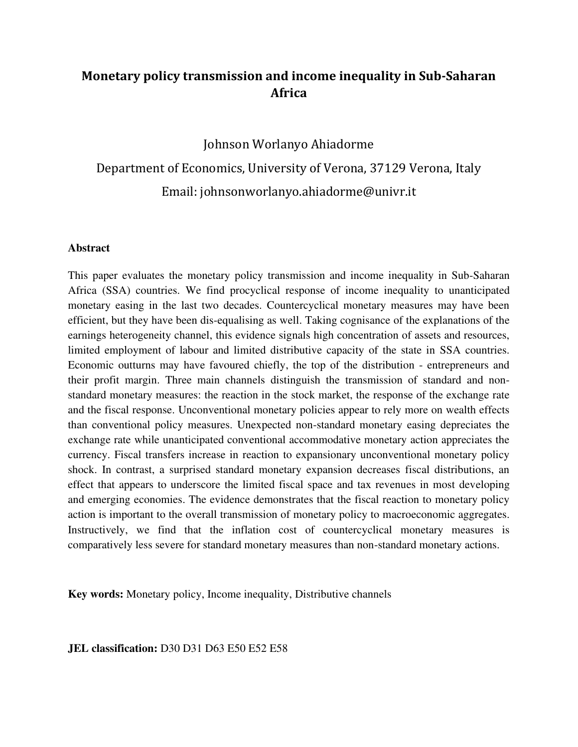# **Monetary policy transmission and income inequality in Sub-Saharan Africa**

Johnson Worlanyo Ahiadorme Department of Economics, University of Verona, 37129 Verona, Italy Email: johnsonworlanyo.ahiadorme@univr.it

#### **Abstract**

This paper evaluates the monetary policy transmission and income inequality in Sub-Saharan Africa (SSA) countries. We find procyclical response of income inequality to unanticipated monetary easing in the last two decades. Countercyclical monetary measures may have been efficient, but they have been dis-equalising as well. Taking cognisance of the explanations of the earnings heterogeneity channel, this evidence signals high concentration of assets and resources, limited employment of labour and limited distributive capacity of the state in SSA countries. Economic outturns may have favoured chiefly, the top of the distribution - entrepreneurs and their profit margin. Three main channels distinguish the transmission of standard and nonstandard monetary measures: the reaction in the stock market, the response of the exchange rate and the fiscal response. Unconventional monetary policies appear to rely more on wealth effects than conventional policy measures. Unexpected non-standard monetary easing depreciates the exchange rate while unanticipated conventional accommodative monetary action appreciates the currency. Fiscal transfers increase in reaction to expansionary unconventional monetary policy shock. In contrast, a surprised standard monetary expansion decreases fiscal distributions, an effect that appears to underscore the limited fiscal space and tax revenues in most developing and emerging economies. The evidence demonstrates that the fiscal reaction to monetary policy action is important to the overall transmission of monetary policy to macroeconomic aggregates. Instructively, we find that the inflation cost of countercyclical monetary measures is comparatively less severe for standard monetary measures than non-standard monetary actions.

**Key words:** Monetary policy, Income inequality, Distributive channels

**JEL classification:** D30 D31 D63 E50 E52 E58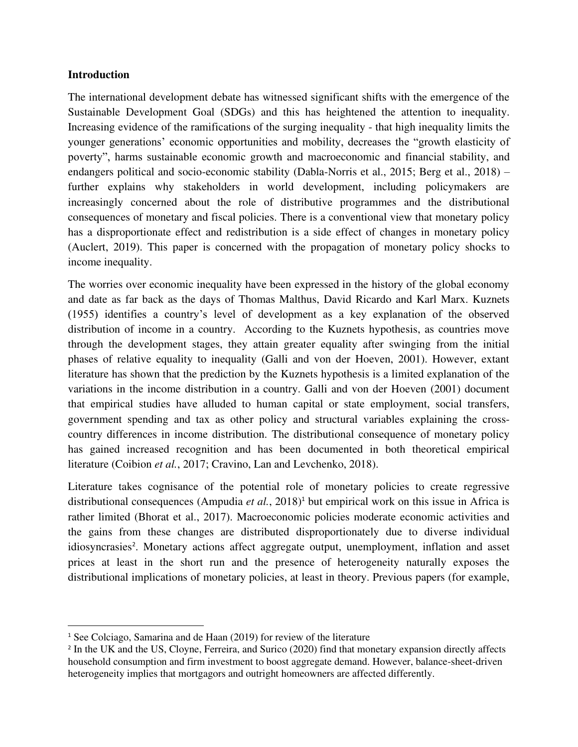### **Introduction**

The international development debate has witnessed significant shifts with the emergence of the Sustainable Development Goal (SDGs) and this has heightened the attention to inequality. Increasing evidence of the ramifications of the surging inequality - that high inequality limits the younger generations' economic opportunities and mobility, decreases the "growth elasticity of poverty", harms sustainable economic growth and macroeconomic and financial stability, and endangers political and socio-economic stability (Dabla-Norris et al., 2015; Berg et al., 2018) – further explains why stakeholders in world development, including policymakers are increasingly concerned about the role of distributive programmes and the distributional consequences of monetary and fiscal policies. There is a conventional view that monetary policy has a disproportionate effect and redistribution is a side effect of changes in monetary policy (Auclert, 2019). This paper is concerned with the propagation of monetary policy shocks to income inequality.

The worries over economic inequality have been expressed in the history of the global economy and date as far back as the days of Thomas Malthus, David Ricardo and Karl Marx. Kuznets (1955) identifies a country's level of development as a key explanation of the observed distribution of income in a country. According to the Kuznets hypothesis, as countries move through the development stages, they attain greater equality after swinging from the initial phases of relative equality to inequality (Galli and von der Hoeven, 2001). However, extant literature has shown that the prediction by the Kuznets hypothesis is a limited explanation of the variations in the income distribution in a country. Galli and von der Hoeven (2001) document that empirical studies have alluded to human capital or state employment, social transfers, government spending and tax as other policy and structural variables explaining the crosscountry differences in income distribution. The distributional consequence of monetary policy has gained increased recognition and has been documented in both theoretical empirical literature (Coibion *et al.*, 2017; Cravino, Lan and Levchenko, 2018).

Literature takes cognisance of the potential role of monetary policies to create regressive distributional consequences (Ampudia et al., 2018)<sup>1</sup> but empirical work on this issue in Africa is rather limited (Bhorat et al., 2017). Macroeconomic policies moderate economic activities and the gains from these changes are distributed disproportionately due to diverse individual idiosyncrasies<sup>2</sup>. Monetary actions affect aggregate output, unemployment, inflation and asset prices at least in the short run and the presence of heterogeneity naturally exposes the distributional implications of monetary policies, at least in theory. Previous papers (for example,

<sup>&</sup>lt;sup>1</sup> See Colciago, Samarina and de Haan (2019) for review of the literature

<sup>&</sup>lt;sup>2</sup> In the UK and the US, Cloyne, Ferreira, and Surico (2020) find that monetary expansion directly affects household consumption and firm investment to boost aggregate demand. However, balance-sheet-driven heterogeneity implies that mortgagors and outright homeowners are affected differently.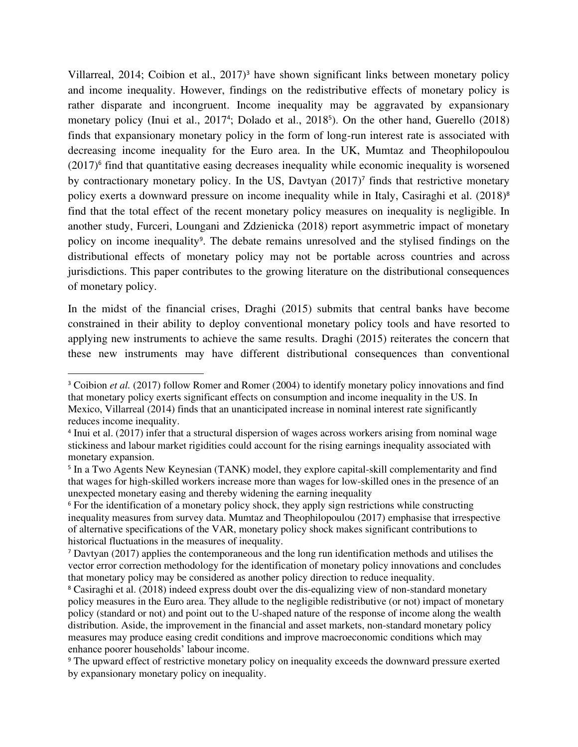Villarreal, 2014; Coibion et al., 2017)<sup>3</sup> have shown significant links between monetary policy and income inequality. However, findings on the redistributive effects of monetary policy is rather disparate and incongruent. Income inequality may be aggravated by expansionary monetary policy (Inui et al., 2017<sup>4</sup>; Dolado et al., 2018<sup>5</sup>). On the other hand, Guerello (2018) finds that expansionary monetary policy in the form of long-run interest rate is associated with decreasing income inequality for the Euro area. In the UK, Mumtaz and Theophilopoulou (2017)<sup>6</sup> find that quantitative easing decreases inequality while economic inequality is worsened by contractionary monetary policy. In the US, Davtyan  $(2017)^7$  finds that restrictive monetary policy exerts a downward pressure on income inequality while in Italy, Casiraghi et al. (2018)<sup>8</sup> find that the total effect of the recent monetary policy measures on inequality is negligible. In another study, Furceri, Loungani and Zdzienicka (2018) report asymmetric impact of monetary policy on income inequality<sup>9</sup>. The debate remains unresolved and the stylised findings on the distributional effects of monetary policy may not be portable across countries and across jurisdictions. This paper contributes to the growing literature on the distributional consequences of monetary policy.

In the midst of the financial crises, Draghi (2015) submits that central banks have become constrained in their ability to deploy conventional monetary policy tools and have resorted to applying new instruments to achieve the same results. Draghi (2015) reiterates the concern that these new instruments may have different distributional consequences than conventional

<sup>&</sup>lt;sup>3</sup> Coibion *et al.* (2017) follow Romer and Romer (2004) to identify monetary policy innovations and find that monetary policy exerts significant effects on consumption and income inequality in the US. In Mexico, Villarreal (2014) finds that an unanticipated increase in nominal interest rate significantly reduces income inequality.

<sup>&</sup>lt;sup>4</sup> Inui et al. (2017) infer that a structural dispersion of wages across workers arising from nominal wage stickiness and labour market rigidities could account for the rising earnings inequality associated with monetary expansion.

<sup>&</sup>lt;sup>5</sup> In a Two Agents New Keynesian (TANK) model, they explore capital-skill complementarity and find that wages for high-skilled workers increase more than wages for low-skilled ones in the presence of an unexpected monetary easing and thereby widening the earning inequality

<sup>&</sup>lt;sup>6</sup> For the identification of a monetary policy shock, they apply sign restrictions while constructing inequality measures from survey data. Mumtaz and Theophilopoulou (2017) emphasise that irrespective of alternative specifications of the VAR, monetary policy shock makes significant contributions to historical fluctuations in the measures of inequality.

<sup>7</sup> Davtyan (2017) applies the contemporaneous and the long run identification methods and utilises the vector error correction methodology for the identification of monetary policy innovations and concludes that monetary policy may be considered as another policy direction to reduce inequality.

<sup>&</sup>lt;sup>8</sup> Casiraghi et al. (2018) indeed express doubt over the dis-equalizing view of non-standard monetary policy measures in the Euro area. They allude to the negligible redistributive (or not) impact of monetary policy (standard or not) and point out to the U-shaped nature of the response of income along the wealth distribution. Aside, the improvement in the financial and asset markets, non-standard monetary policy measures may produce easing credit conditions and improve macroeconomic conditions which may enhance poorer households' labour income.

<sup>&</sup>lt;sup>9</sup> The upward effect of restrictive monetary policy on inequality exceeds the downward pressure exerted by expansionary monetary policy on inequality.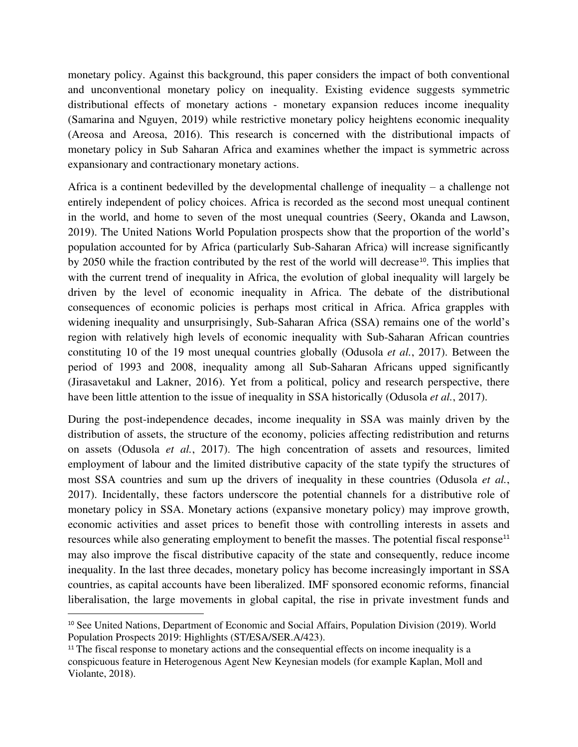monetary policy. Against this background, this paper considers the impact of both conventional and unconventional monetary policy on inequality. Existing evidence suggests symmetric distributional effects of monetary actions - monetary expansion reduces income inequality (Samarina and Nguyen, 2019) while restrictive monetary policy heightens economic inequality (Areosa and Areosa, 2016). This research is concerned with the distributional impacts of monetary policy in Sub Saharan Africa and examines whether the impact is symmetric across expansionary and contractionary monetary actions.

Africa is a continent bedevilled by the developmental challenge of inequality – a challenge not entirely independent of policy choices. Africa is recorded as the second most unequal continent in the world, and home to seven of the most unequal countries (Seery, Okanda and Lawson, 2019). The United Nations World Population prospects show that the proportion of the world's population accounted for by Africa (particularly Sub-Saharan Africa) will increase significantly by 2050 while the fraction contributed by the rest of the world will decrease<sup>10</sup>. This implies that with the current trend of inequality in Africa, the evolution of global inequality will largely be driven by the level of economic inequality in Africa. The debate of the distributional consequences of economic policies is perhaps most critical in Africa. Africa grapples with widening inequality and unsurprisingly, Sub-Saharan Africa (SSA) remains one of the world's region with relatively high levels of economic inequality with Sub-Saharan African countries constituting 10 of the 19 most unequal countries globally (Odusola *et al.*, 2017). Between the period of 1993 and 2008, inequality among all Sub-Saharan Africans upped significantly (Jirasavetakul and Lakner, 2016). Yet from a political, policy and research perspective, there have been little attention to the issue of inequality in SSA historically (Odusola *et al.*, 2017).

During the post-independence decades, income inequality in SSA was mainly driven by the distribution of assets, the structure of the economy, policies affecting redistribution and returns on assets (Odusola *et al.*, 2017). The high concentration of assets and resources, limited employment of labour and the limited distributive capacity of the state typify the structures of most SSA countries and sum up the drivers of inequality in these countries (Odusola *et al.*, 2017). Incidentally, these factors underscore the potential channels for a distributive role of monetary policy in SSA. Monetary actions (expansive monetary policy) may improve growth, economic activities and asset prices to benefit those with controlling interests in assets and resources while also generating employment to benefit the masses. The potential fiscal response<sup>11</sup> may also improve the fiscal distributive capacity of the state and consequently, reduce income inequality. In the last three decades, monetary policy has become increasingly important in SSA countries, as capital accounts have been liberalized. IMF sponsored economic reforms, financial liberalisation, the large movements in global capital, the rise in private investment funds and

<sup>&</sup>lt;sup>10</sup> See United Nations, Department of Economic and Social Affairs, Population Division (2019). World Population Prospects 2019: Highlights (ST/ESA/SER.A/423).

 $11$ <sup>11</sup> The fiscal response to monetary actions and the consequential effects on income inequality is a conspicuous feature in Heterogenous Agent New Keynesian models (for example Kaplan, Moll and Violante, 2018).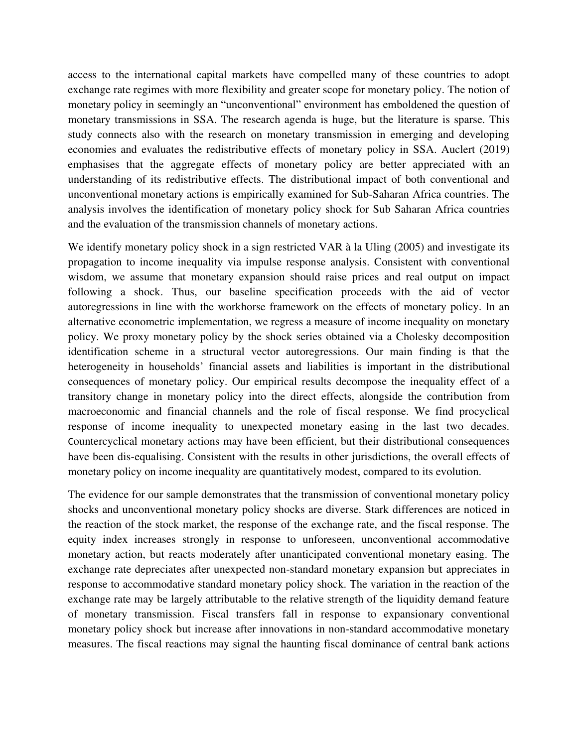access to the international capital markets have compelled many of these countries to adopt exchange rate regimes with more flexibility and greater scope for monetary policy. The notion of monetary policy in seemingly an "unconventional" environment has emboldened the question of monetary transmissions in SSA. The research agenda is huge, but the literature is sparse. This study connects also with the research on monetary transmission in emerging and developing economies and evaluates the redistributive effects of monetary policy in SSA. Auclert (2019) emphasises that the aggregate effects of monetary policy are better appreciated with an understanding of its redistributive effects. The distributional impact of both conventional and unconventional monetary actions is empirically examined for Sub-Saharan Africa countries. The analysis involves the identification of monetary policy shock for Sub Saharan Africa countries and the evaluation of the transmission channels of monetary actions.

We identify monetary policy shock in a sign restricted VAR à la Uling (2005) and investigate its propagation to income inequality via impulse response analysis. Consistent with conventional wisdom, we assume that monetary expansion should raise prices and real output on impact following a shock. Thus, our baseline specification proceeds with the aid of vector autoregressions in line with the workhorse framework on the effects of monetary policy. In an alternative econometric implementation, we regress a measure of income inequality on monetary policy. We proxy monetary policy by the shock series obtained via a Cholesky decomposition identification scheme in a structural vector autoregressions. Our main finding is that the heterogeneity in households' financial assets and liabilities is important in the distributional consequences of monetary policy. Our empirical results decompose the inequality effect of a transitory change in monetary policy into the direct effects, alongside the contribution from macroeconomic and financial channels and the role of fiscal response. We find procyclical response of income inequality to unexpected monetary easing in the last two decades. Countercyclical monetary actions may have been efficient, but their distributional consequences have been dis-equalising. Consistent with the results in other jurisdictions, the overall effects of monetary policy on income inequality are quantitatively modest, compared to its evolution.

The evidence for our sample demonstrates that the transmission of conventional monetary policy shocks and unconventional monetary policy shocks are diverse. Stark differences are noticed in the reaction of the stock market, the response of the exchange rate, and the fiscal response. The equity index increases strongly in response to unforeseen, unconventional accommodative monetary action, but reacts moderately after unanticipated conventional monetary easing. The exchange rate depreciates after unexpected non-standard monetary expansion but appreciates in response to accommodative standard monetary policy shock. The variation in the reaction of the exchange rate may be largely attributable to the relative strength of the liquidity demand feature of monetary transmission. Fiscal transfers fall in response to expansionary conventional monetary policy shock but increase after innovations in non-standard accommodative monetary measures. The fiscal reactions may signal the haunting fiscal dominance of central bank actions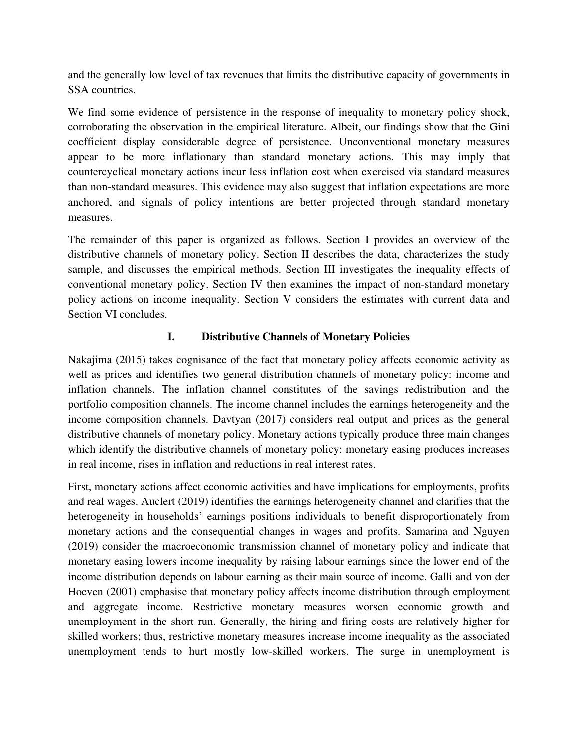and the generally low level of tax revenues that limits the distributive capacity of governments in SSA countries.

We find some evidence of persistence in the response of inequality to monetary policy shock, corroborating the observation in the empirical literature. Albeit, our findings show that the Gini coefficient display considerable degree of persistence. Unconventional monetary measures appear to be more inflationary than standard monetary actions. This may imply that countercyclical monetary actions incur less inflation cost when exercised via standard measures than non-standard measures. This evidence may also suggest that inflation expectations are more anchored, and signals of policy intentions are better projected through standard monetary measures.

The remainder of this paper is organized as follows. Section I provides an overview of the distributive channels of monetary policy. Section II describes the data, characterizes the study sample, and discusses the empirical methods. Section III investigates the inequality effects of conventional monetary policy. Section IV then examines the impact of non-standard monetary policy actions on income inequality. Section V considers the estimates with current data and Section VI concludes.

### **I. Distributive Channels of Monetary Policies**

Nakajima (2015) takes cognisance of the fact that monetary policy affects economic activity as well as prices and identifies two general distribution channels of monetary policy: income and inflation channels. The inflation channel constitutes of the savings redistribution and the portfolio composition channels. The income channel includes the earnings heterogeneity and the income composition channels. Davtyan (2017) considers real output and prices as the general distributive channels of monetary policy. Monetary actions typically produce three main changes which identify the distributive channels of monetary policy: monetary easing produces increases in real income, rises in inflation and reductions in real interest rates.

First, monetary actions affect economic activities and have implications for employments, profits and real wages. Auclert (2019) identifies the earnings heterogeneity channel and clarifies that the heterogeneity in households' earnings positions individuals to benefit disproportionately from monetary actions and the consequential changes in wages and profits. Samarina and Nguyen (2019) consider the macroeconomic transmission channel of monetary policy and indicate that monetary easing lowers income inequality by raising labour earnings since the lower end of the income distribution depends on labour earning as their main source of income. Galli and von der Hoeven (2001) emphasise that monetary policy affects income distribution through employment and aggregate income. Restrictive monetary measures worsen economic growth and unemployment in the short run. Generally, the hiring and firing costs are relatively higher for skilled workers; thus, restrictive monetary measures increase income inequality as the associated unemployment tends to hurt mostly low-skilled workers. The surge in unemployment is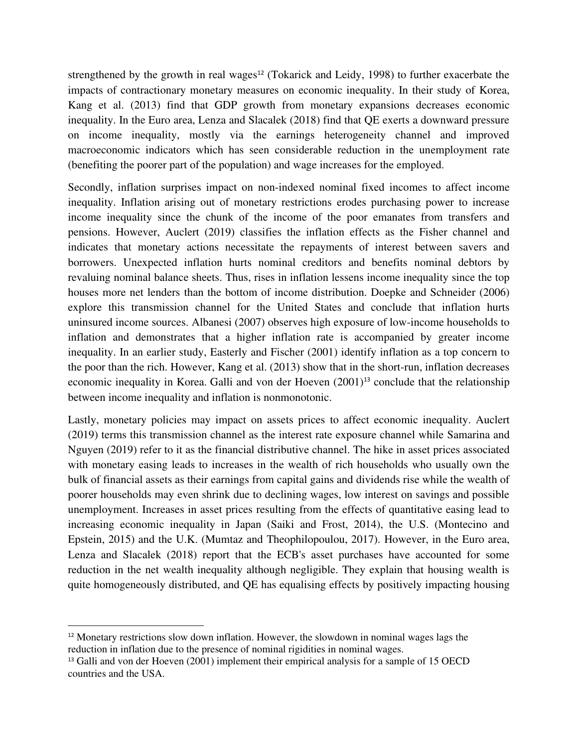strengthened by the growth in real wages $12$  (Tokarick and Leidy, 1998) to further exacerbate the impacts of contractionary monetary measures on economic inequality. In their study of Korea, Kang et al. (2013) find that GDP growth from monetary expansions decreases economic inequality. In the Euro area, Lenza and Slacalek (2018) find that QE exerts a downward pressure on income inequality, mostly via the earnings heterogeneity channel and improved macroeconomic indicators which has seen considerable reduction in the unemployment rate (benefiting the poorer part of the population) and wage increases for the employed.

Secondly, inflation surprises impact on non-indexed nominal fixed incomes to affect income inequality. Inflation arising out of monetary restrictions erodes purchasing power to increase income inequality since the chunk of the income of the poor emanates from transfers and pensions. However, Auclert (2019) classifies the inflation effects as the Fisher channel and indicates that monetary actions necessitate the repayments of interest between savers and borrowers. Unexpected inflation hurts nominal creditors and benefits nominal debtors by revaluing nominal balance sheets. Thus, rises in inflation lessens income inequality since the top houses more net lenders than the bottom of income distribution. Doepke and Schneider (2006) explore this transmission channel for the United States and conclude that inflation hurts uninsured income sources. Albanesi (2007) observes high exposure of low-income households to inflation and demonstrates that a higher inflation rate is accompanied by greater income inequality. In an earlier study, Easterly and Fischer (2001) identify inflation as a top concern to the poor than the rich. However, Kang et al. (2013) show that in the short-run, inflation decreases economic inequality in Korea. Galli and von der Hoeven  $(2001)^{13}$  conclude that the relationship between income inequality and inflation is nonmonotonic.

Lastly, monetary policies may impact on assets prices to affect economic inequality. Auclert (2019) terms this transmission channel as the interest rate exposure channel while Samarina and Nguyen (2019) refer to it as the financial distributive channel. The hike in asset prices associated with monetary easing leads to increases in the wealth of rich households who usually own the bulk of financial assets as their earnings from capital gains and dividends rise while the wealth of poorer households may even shrink due to declining wages, low interest on savings and possible unemployment. Increases in asset prices resulting from the effects of quantitative easing lead to increasing economic inequality in Japan (Saiki and Frost, 2014), the U.S. (Montecino and Epstein, 2015) and the U.K. (Mumtaz and Theophilopoulou, 2017). However, in the Euro area, Lenza and Slacalek (2018) report that the ECB's asset purchases have accounted for some reduction in the net wealth inequality although negligible. They explain that housing wealth is quite homogeneously distributed, and QE has equalising effects by positively impacting housing

<sup>12</sup> Monetary restrictions slow down inflation. However, the slowdown in nominal wages lags the reduction in inflation due to the presence of nominal rigidities in nominal wages.

<sup>&</sup>lt;sup>13</sup> Galli and von der Hoeven (2001) implement their empirical analysis for a sample of 15 OECD countries and the USA.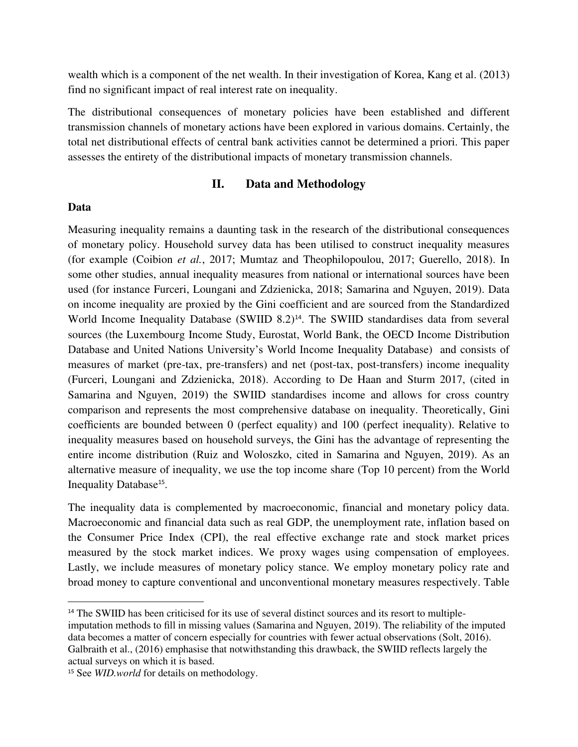wealth which is a component of the net wealth. In their investigation of Korea, Kang et al. (2013) find no significant impact of real interest rate on inequality.

The distributional consequences of monetary policies have been established and different transmission channels of monetary actions have been explored in various domains. Certainly, the total net distributional effects of central bank activities cannot be determined a priori. This paper assesses the entirety of the distributional impacts of monetary transmission channels.

### **II. Data and Methodology**

#### **Data**

Measuring inequality remains a daunting task in the research of the distributional consequences of monetary policy. Household survey data has been utilised to construct inequality measures (for example (Coibion *et al.*, 2017; Mumtaz and Theophilopoulou, 2017; Guerello, 2018). In some other studies, annual inequality measures from national or international sources have been used (for instance Furceri, Loungani and Zdzienicka, 2018; Samarina and Nguyen, 2019). Data on income inequality are proxied by the Gini coefficient and are sourced from the Standardized World Income Inequality Database (SWIID 8.2)<sup>14</sup>. The SWIID standardises data from several sources (the Luxembourg Income Study, Eurostat, World Bank, the OECD Income Distribution Database and United Nations University's World Income Inequality Database) and consists of measures of market (pre-tax, pre-transfers) and net (post-tax, post-transfers) income inequality (Furceri, Loungani and Zdzienicka, 2018). According to De Haan and Sturm 2017, (cited in Samarina and Nguyen, 2019) the SWIID standardises income and allows for cross country comparison and represents the most comprehensive database on inequality. Theoretically, Gini coefficients are bounded between 0 (perfect equality) and 100 (perfect inequality). Relative to inequality measures based on household surveys, the Gini has the advantage of representing the entire income distribution (Ruiz and Woloszko, cited in Samarina and Nguyen, 2019). As an alternative measure of inequality, we use the top income share (Top 10 percent) from the World Inequality Database<sup>15</sup>.

The inequality data is complemented by macroeconomic, financial and monetary policy data. Macroeconomic and financial data such as real GDP, the unemployment rate, inflation based on the Consumer Price Index (CPI), the real effective exchange rate and stock market prices measured by the stock market indices. We proxy wages using compensation of employees. Lastly, we include measures of monetary policy stance. We employ monetary policy rate and broad money to capture conventional and unconventional monetary measures respectively. Table

<sup>&</sup>lt;sup>14</sup> The SWIID has been criticised for its use of several distinct sources and its resort to multiple-

imputation methods to fill in missing values (Samarina and Nguyen, 2019). The reliability of the imputed data becomes a matter of concern especially for countries with fewer actual observations (Solt, 2016). Galbraith et al., (2016) emphasise that notwithstanding this drawback, the SWIID reflects largely the actual surveys on which it is based.

<sup>&</sup>lt;sup>15</sup> See *WID.world* for details on methodology.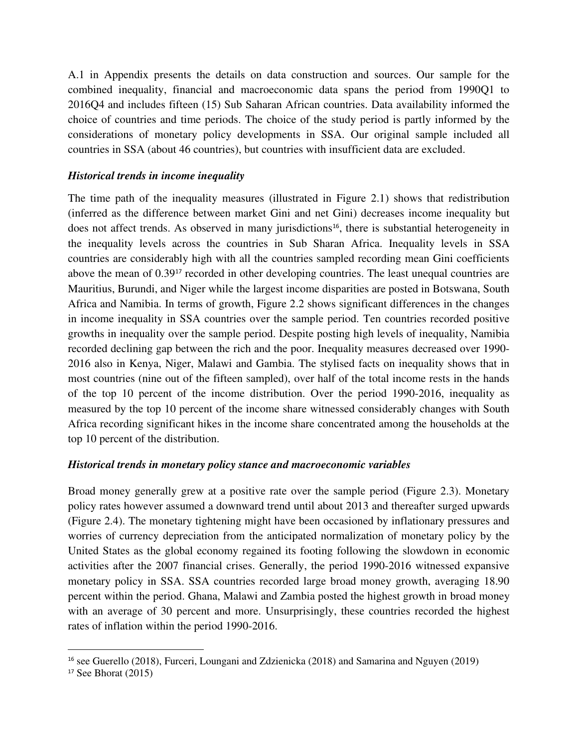A.1 in Appendix presents the details on data construction and sources. Our sample for the combined inequality, financial and macroeconomic data spans the period from 1990Q1 to 2016Q4 and includes fifteen (15) Sub Saharan African countries. Data availability informed the choice of countries and time periods. The choice of the study period is partly informed by the considerations of monetary policy developments in SSA. Our original sample included all countries in SSA (about 46 countries), but countries with insufficient data are excluded.

### *Historical trends in income inequality*

The time path of the inequality measures (illustrated in Figure 2.1) shows that redistribution (inferred as the difference between market Gini and net Gini) decreases income inequality but does not affect trends. As observed in many jurisdictions<sup>16</sup>, there is substantial heterogeneity in the inequality levels across the countries in Sub Sharan Africa. Inequality levels in SSA countries are considerably high with all the countries sampled recording mean Gini coefficients above the mean of 0.39<sup>17</sup> recorded in other developing countries. The least unequal countries are Mauritius, Burundi, and Niger while the largest income disparities are posted in Botswana, South Africa and Namibia. In terms of growth, Figure 2.2 shows significant differences in the changes in income inequality in SSA countries over the sample period. Ten countries recorded positive growths in inequality over the sample period. Despite posting high levels of inequality, Namibia recorded declining gap between the rich and the poor. Inequality measures decreased over 1990- 2016 also in Kenya, Niger, Malawi and Gambia. The stylised facts on inequality shows that in most countries (nine out of the fifteen sampled), over half of the total income rests in the hands of the top 10 percent of the income distribution. Over the period 1990-2016, inequality as measured by the top 10 percent of the income share witnessed considerably changes with South Africa recording significant hikes in the income share concentrated among the households at the top 10 percent of the distribution.

### *Historical trends in monetary policy stance and macroeconomic variables*

Broad money generally grew at a positive rate over the sample period (Figure 2.3). Monetary policy rates however assumed a downward trend until about 2013 and thereafter surged upwards (Figure 2.4). The monetary tightening might have been occasioned by inflationary pressures and worries of currency depreciation from the anticipated normalization of monetary policy by the United States as the global economy regained its footing following the slowdown in economic activities after the 2007 financial crises. Generally, the period 1990-2016 witnessed expansive monetary policy in SSA. SSA countries recorded large broad money growth, averaging 18.90 percent within the period. Ghana, Malawi and Zambia posted the highest growth in broad money with an average of 30 percent and more. Unsurprisingly, these countries recorded the highest rates of inflation within the period 1990-2016.

<sup>&</sup>lt;sup>16</sup> see Guerello (2018), Furceri, Loungani and Zdzienicka (2018) and Samarina and Nguyen (2019)

 $17$  See Bhorat (2015)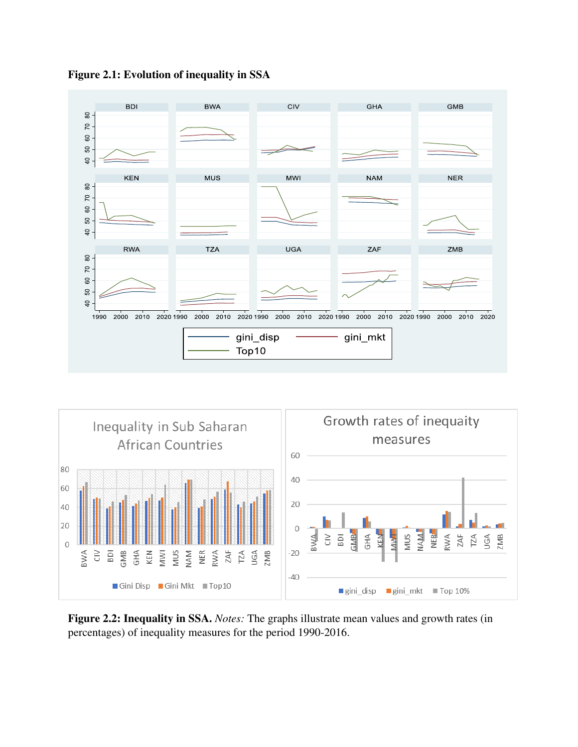

**Figure 2.1: Evolution of inequality in SSA** 



**Figure 2.2: Inequality in SSA.** *Notes:* The graphs illustrate mean values and growth rates (in percentages) of inequality measures for the period 1990-2016.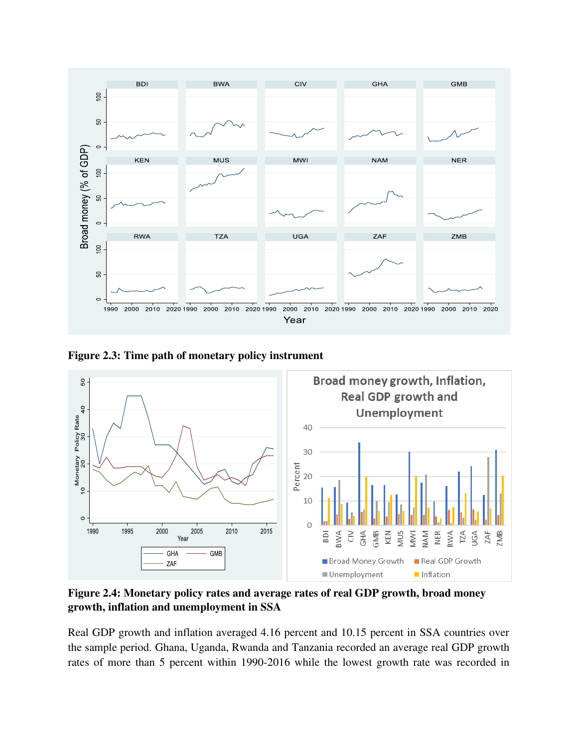

**Figure 2.3: Time path of monetary policy instrument** 



**Figure 2.4: Monetary policy rates and average rates of real GDP growth, broad money growth, inflation and unemployment in SSA** 

Real GDP growth and inflation averaged 4.16 percent and 10.15 percent in SSA countries over the sample period. Ghana, Uganda, Rwanda and Tanzania recorded an average real GDP growth rates of more than 5 percent within 1990-2016 while the lowest growth rate was recorded in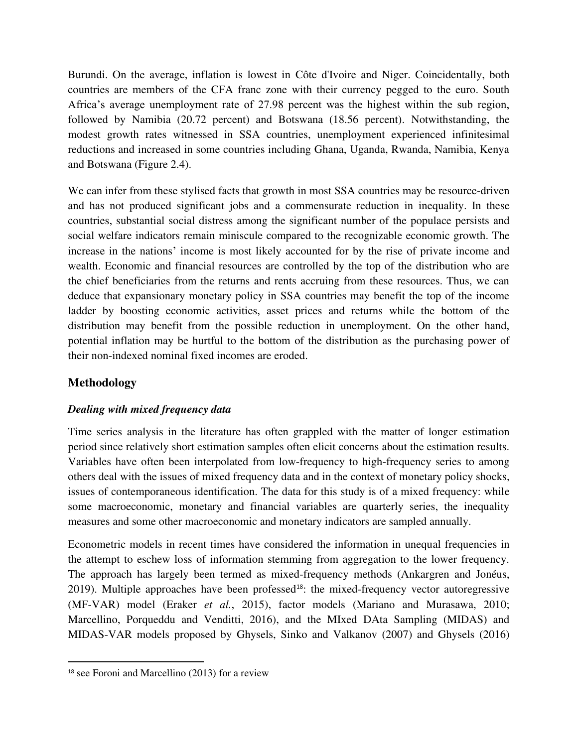Burundi. On the average, inflation is lowest in Côte d'Ivoire and Niger. Coincidentally, both countries are members of the CFA franc zone with their currency pegged to the euro. South Africa's average unemployment rate of 27.98 percent was the highest within the sub region, followed by Namibia (20.72 percent) and Botswana (18.56 percent). Notwithstanding, the modest growth rates witnessed in SSA countries, unemployment experienced infinitesimal reductions and increased in some countries including Ghana, Uganda, Rwanda, Namibia, Kenya and Botswana (Figure 2.4).

We can infer from these stylised facts that growth in most SSA countries may be resource-driven and has not produced significant jobs and a commensurate reduction in inequality. In these countries, substantial social distress among the significant number of the populace persists and social welfare indicators remain miniscule compared to the recognizable economic growth. The increase in the nations' income is most likely accounted for by the rise of private income and wealth. Economic and financial resources are controlled by the top of the distribution who are the chief beneficiaries from the returns and rents accruing from these resources. Thus, we can deduce that expansionary monetary policy in SSA countries may benefit the top of the income ladder by boosting economic activities, asset prices and returns while the bottom of the distribution may benefit from the possible reduction in unemployment. On the other hand, potential inflation may be hurtful to the bottom of the distribution as the purchasing power of their non-indexed nominal fixed incomes are eroded.

### **Methodology**

### *Dealing with mixed frequency data*

Time series analysis in the literature has often grappled with the matter of longer estimation period since relatively short estimation samples often elicit concerns about the estimation results. Variables have often been interpolated from low-frequency to high-frequency series to among others deal with the issues of mixed frequency data and in the context of monetary policy shocks, issues of contemporaneous identification. The data for this study is of a mixed frequency: while some macroeconomic, monetary and financial variables are quarterly series, the inequality measures and some other macroeconomic and monetary indicators are sampled annually.

Econometric models in recent times have considered the information in unequal frequencies in the attempt to eschew loss of information stemming from aggregation to the lower frequency. The approach has largely been termed as mixed-frequency methods (Ankargren and Jonéus, 2019). Multiple approaches have been professed<sup>18</sup>: the mixed-frequency vector autoregressive (MF-VAR) model (Eraker *et al.*, 2015), factor models (Mariano and Murasawa, 2010; Marcellino, Porqueddu and Venditti, 2016), and the MIxed DAta Sampling (MIDAS) and MIDAS-VAR models proposed by Ghysels, Sinko and Valkanov (2007) and Ghysels (2016)

<sup>18</sup> see Foroni and Marcellino (2013) for a review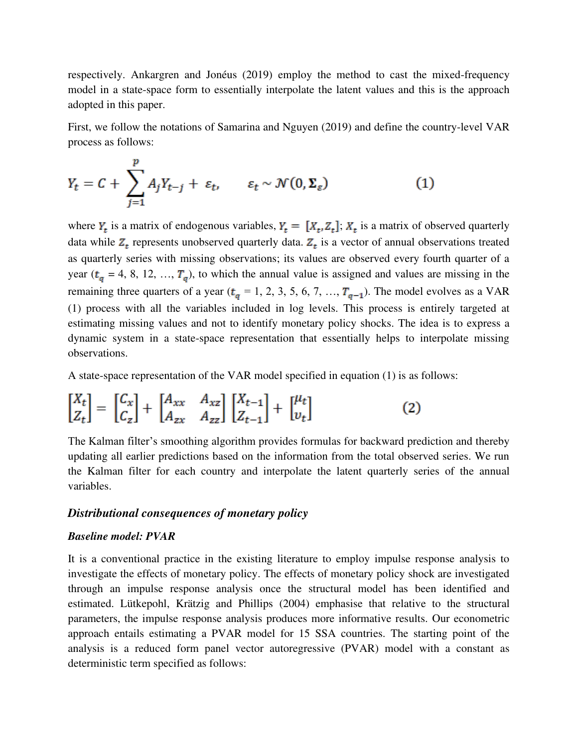respectively. Ankargren and Jonéus (2019) employ the method to cast the mixed-frequency model in a state-space form to essentially interpolate the latent values and this is the approach adopted in this paper.

First, we follow the notations of Samarina and Nguyen (2019) and define the country-level VAR process as follows:

$$
Y_t = C + \sum_{j=1}^p A_j Y_{t-j} + \varepsilon_t, \qquad \varepsilon_t \sim \mathcal{N}(0, \Sigma_{\varepsilon})
$$
 (1)

where  $Y_t$  is a matrix of endogenous variables,  $Y_t = [X_t, Z_t]$ ;  $X_t$  is a matrix of observed quarterly data while  $Z_t$  represents unobserved quarterly data.  $Z_t$  is a vector of annual observations treated as quarterly series with missing observations; its values are observed every fourth quarter of a year ( $t_a = 4, 8, 12, ..., T_a$ ), to which the annual value is assigned and values are missing in the remaining three quarters of a year ( $t_q = 1, 2, 3, 5, 6, 7, ..., T_{q-1}$ ). The model evolves as a VAR (1) process with all the variables included in log levels. This process is entirely targeted at estimating missing values and not to identify monetary policy shocks. The idea is to express a dynamic system in a state-space representation that essentially helps to interpolate missing observations.

A state-space representation of the VAR model specified in equation (1) is as follows:

$$
\begin{bmatrix} X_t \\ Z_t \end{bmatrix} = \begin{bmatrix} C_x \\ C_z \end{bmatrix} + \begin{bmatrix} A_{xx} & A_{xz} \\ A_{zx} & A_{zz} \end{bmatrix} \begin{bmatrix} X_{t-1} \\ Z_{t-1} \end{bmatrix} + \begin{bmatrix} \mu_t \\ v_t \end{bmatrix} \tag{2}
$$

The Kalman filter's smoothing algorithm provides formulas for backward prediction and thereby updating all earlier predictions based on the information from the total observed series. We run the Kalman filter for each country and interpolate the latent quarterly series of the annual variables.

### *Distributional consequences of monetary policy*

#### *Baseline model: PVAR*

It is a conventional practice in the existing literature to employ impulse response analysis to investigate the effects of monetary policy. The effects of monetary policy shock are investigated through an impulse response analysis once the structural model has been identified and estimated. Lütkepohl, Krätzig and Phillips (2004) emphasise that relative to the structural parameters, the impulse response analysis produces more informative results. Our econometric approach entails estimating a PVAR model for 15 SSA countries. The starting point of the analysis is a reduced form panel vector autoregressive (PVAR) model with a constant as deterministic term specified as follows: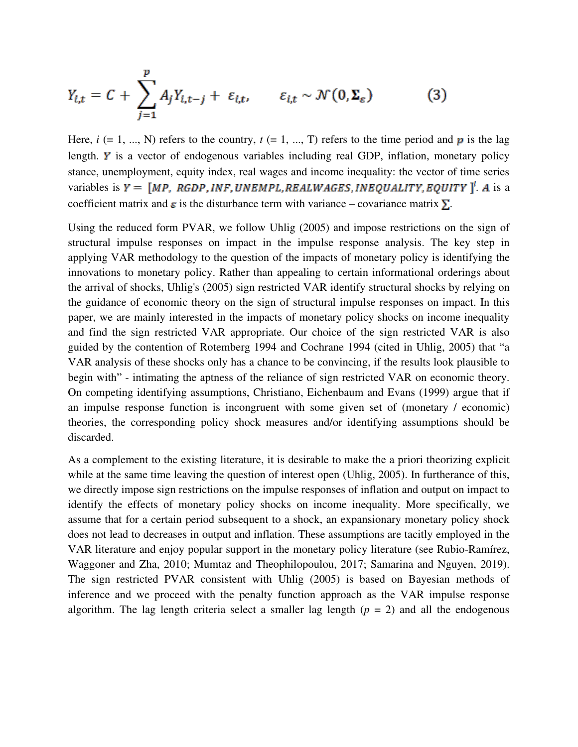$$
Y_{i,t} = C + \sum_{j=1}^{p} A_j Y_{i,t-j} + \varepsilon_{i,t}, \qquad \varepsilon_{i,t} \sim \mathcal{N}(0, \Sigma_{\varepsilon})
$$
(3)

Here,  $i$  (= 1, ..., N) refers to the country,  $t$  (= 1, ..., T) refers to the time period and  $p$  is the lag length.  $\boldsymbol{y}$  is a vector of endogenous variables including real GDP, inflation, monetary policy stance, unemployment, equity index, real wages and income inequality: the vector of time series variables is  $Y = [MP, RGBP, INF, UNEMPL, REALWAGES, INEQUALITY, EQUITY]^T$ . A is a coefficient matrix and  $\epsilon$  is the disturbance term with variance – covariance matrix  $\Sigma$ .

Using the reduced form PVAR, we follow Uhlig (2005) and impose restrictions on the sign of structural impulse responses on impact in the impulse response analysis. The key step in applying VAR methodology to the question of the impacts of monetary policy is identifying the innovations to monetary policy. Rather than appealing to certain informational orderings about the arrival of shocks, Uhlig's (2005) sign restricted VAR identify structural shocks by relying on the guidance of economic theory on the sign of structural impulse responses on impact. In this paper, we are mainly interested in the impacts of monetary policy shocks on income inequality and find the sign restricted VAR appropriate. Our choice of the sign restricted VAR is also guided by the contention of Rotemberg 1994 and Cochrane 1994 (cited in Uhlig, 2005) that "a VAR analysis of these shocks only has a chance to be convincing, if the results look plausible to begin with" - intimating the aptness of the reliance of sign restricted VAR on economic theory. On competing identifying assumptions, Christiano, Eichenbaum and Evans (1999) argue that if an impulse response function is incongruent with some given set of (monetary / economic) theories, the corresponding policy shock measures and/or identifying assumptions should be discarded.

As a complement to the existing literature, it is desirable to make the a priori theorizing explicit while at the same time leaving the question of interest open (Uhlig, 2005). In furtherance of this, we directly impose sign restrictions on the impulse responses of inflation and output on impact to identify the effects of monetary policy shocks on income inequality. More specifically, we assume that for a certain period subsequent to a shock, an expansionary monetary policy shock does not lead to decreases in output and inflation. These assumptions are tacitly employed in the VAR literature and enjoy popular support in the monetary policy literature (see Rubio-Ramírez, Waggoner and Zha, 2010; Mumtaz and Theophilopoulou, 2017; Samarina and Nguyen, 2019). The sign restricted PVAR consistent with Uhlig (2005) is based on Bayesian methods of inference and we proceed with the penalty function approach as the VAR impulse response algorithm. The lag length criteria select a smaller lag length  $(p = 2)$  and all the endogenous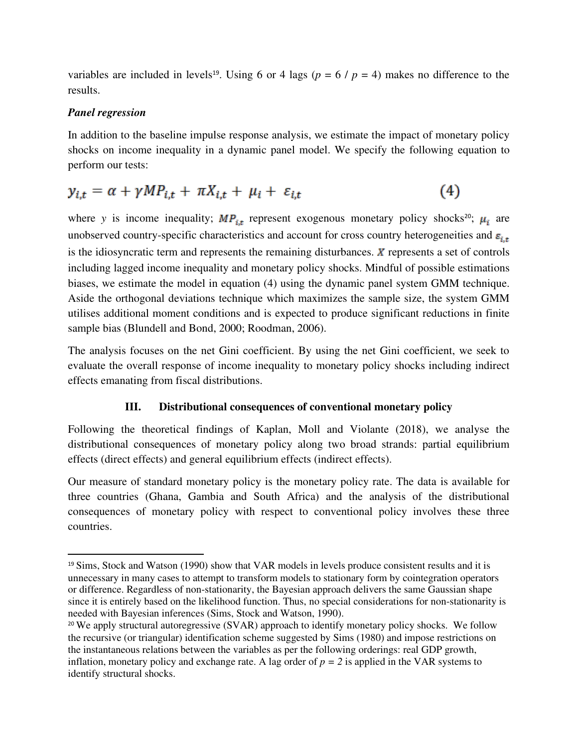variables are included in levels<sup>19</sup>. Using 6 or 4 lags ( $p = 6 / p = 4$ ) makes no difference to the results.

### *Panel regression*

In addition to the baseline impulse response analysis, we estimate the impact of monetary policy shocks on income inequality in a dynamic panel model. We specify the following equation to perform our tests:

$$
y_{i,t} = \alpha + \gamma MP_{i,t} + \pi X_{i,t} + \mu_i + \varepsilon_{i,t} \tag{4}
$$

where *y* is income inequality;  $MP_{it}$  represent exogenous monetary policy shocks<sup>20</sup>;  $\mu_i$  are unobserved country-specific characteristics and account for cross country heterogeneities and  $\varepsilon_{i,t}$ is the idiosyncratic term and represents the remaining disturbances.  $\chi$  represents a set of controls including lagged income inequality and monetary policy shocks. Mindful of possible estimations biases, we estimate the model in equation (4) using the dynamic panel system GMM technique. Aside the orthogonal deviations technique which maximizes the sample size, the system GMM utilises additional moment conditions and is expected to produce significant reductions in finite sample bias (Blundell and Bond, 2000; Roodman, 2006).

The analysis focuses on the net Gini coefficient. By using the net Gini coefficient, we seek to evaluate the overall response of income inequality to monetary policy shocks including indirect effects emanating from fiscal distributions.

### **III. Distributional consequences of conventional monetary policy**

Following the theoretical findings of Kaplan, Moll and Violante (2018), we analyse the distributional consequences of monetary policy along two broad strands: partial equilibrium effects (direct effects) and general equilibrium effects (indirect effects).

Our measure of standard monetary policy is the monetary policy rate. The data is available for three countries (Ghana, Gambia and South Africa) and the analysis of the distributional consequences of monetary policy with respect to conventional policy involves these three countries.

<sup>&</sup>lt;sup>19</sup> Sims, Stock and Watson (1990) show that VAR models in levels produce consistent results and it is unnecessary in many cases to attempt to transform models to stationary form by cointegration operators or difference. Regardless of non-stationarity, the Bayesian approach delivers the same Gaussian shape since it is entirely based on the likelihood function. Thus, no special considerations for non-stationarity is needed with Bayesian inferences (Sims, Stock and Watson, 1990).

<sup>&</sup>lt;sup>20</sup> We apply structural autoregressive (SVAR) approach to identify monetary policy shocks. We follow the recursive (or triangular) identification scheme suggested by Sims (1980) and impose restrictions on the instantaneous relations between the variables as per the following orderings: real GDP growth, inflation, monetary policy and exchange rate. A lag order of  $p = 2$  is applied in the VAR systems to identify structural shocks.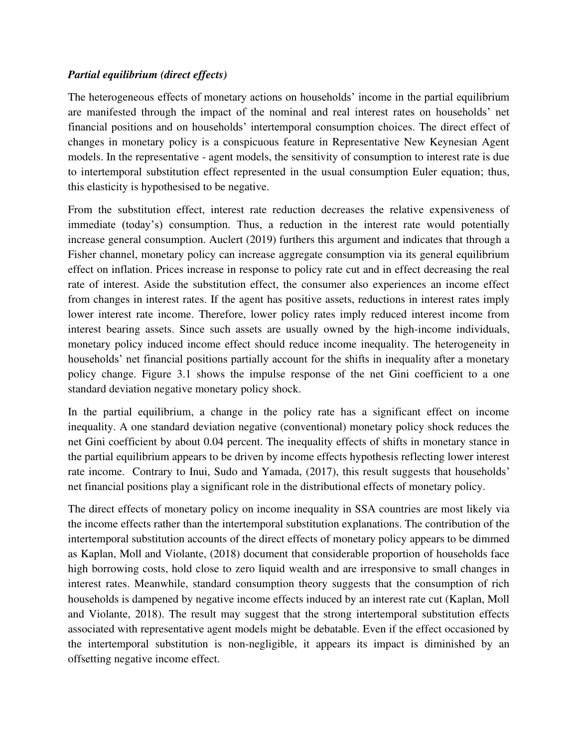### *Partial equilibrium (direct effects)*

The heterogeneous effects of monetary actions on households' income in the partial equilibrium are manifested through the impact of the nominal and real interest rates on households' net financial positions and on households' intertemporal consumption choices. The direct effect of changes in monetary policy is a conspicuous feature in Representative New Keynesian Agent models. In the representative - agent models, the sensitivity of consumption to interest rate is due to intertemporal substitution effect represented in the usual consumption Euler equation; thus, this elasticity is hypothesised to be negative.

From the substitution effect, interest rate reduction decreases the relative expensiveness of immediate (today's) consumption. Thus, a reduction in the interest rate would potentially increase general consumption. Auclert (2019) furthers this argument and indicates that through a Fisher channel, monetary policy can increase aggregate consumption via its general equilibrium effect on inflation. Prices increase in response to policy rate cut and in effect decreasing the real rate of interest. Aside the substitution effect, the consumer also experiences an income effect from changes in interest rates. If the agent has positive assets, reductions in interest rates imply lower interest rate income. Therefore, lower policy rates imply reduced interest income from interest bearing assets. Since such assets are usually owned by the high-income individuals, monetary policy induced income effect should reduce income inequality. The heterogeneity in households' net financial positions partially account for the shifts in inequality after a monetary policy change. Figure 3.1 shows the impulse response of the net Gini coefficient to a one standard deviation negative monetary policy shock.

In the partial equilibrium, a change in the policy rate has a significant effect on income inequality. A one standard deviation negative (conventional) monetary policy shock reduces the net Gini coefficient by about 0.04 percent. The inequality effects of shifts in monetary stance in the partial equilibrium appears to be driven by income effects hypothesis reflecting lower interest rate income. Contrary to Inui, Sudo and Yamada, (2017), this result suggests that households' net financial positions play a significant role in the distributional effects of monetary policy.

The direct effects of monetary policy on income inequality in SSA countries are most likely via the income effects rather than the intertemporal substitution explanations. The contribution of the intertemporal substitution accounts of the direct effects of monetary policy appears to be dimmed as Kaplan, Moll and Violante, (2018) document that considerable proportion of households face high borrowing costs, hold close to zero liquid wealth and are irresponsive to small changes in interest rates. Meanwhile, standard consumption theory suggests that the consumption of rich households is dampened by negative income effects induced by an interest rate cut (Kaplan, Moll and Violante, 2018). The result may suggest that the strong intertemporal substitution effects associated with representative agent models might be debatable. Even if the effect occasioned by the intertemporal substitution is non-negligible, it appears its impact is diminished by an offsetting negative income effect.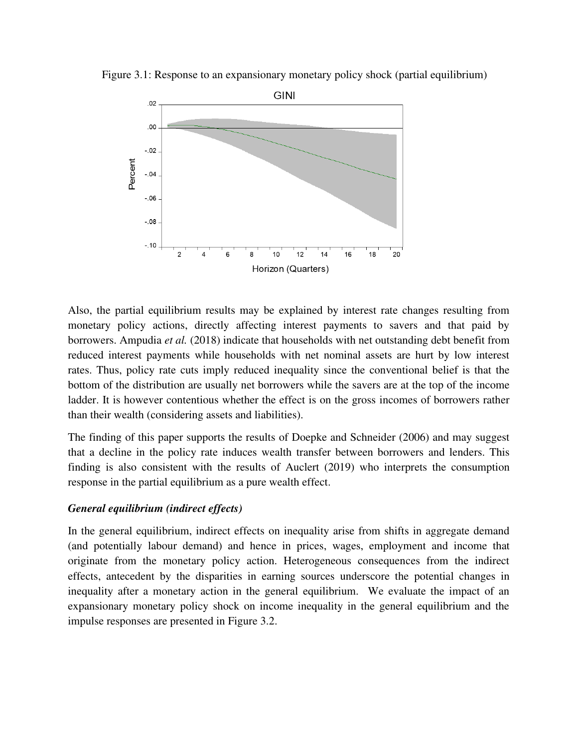



Also, the partial equilibrium results may be explained by interest rate changes resulting from monetary policy actions, directly affecting interest payments to savers and that paid by borrowers. Ampudia *et al.* (2018) indicate that households with net outstanding debt benefit from reduced interest payments while households with net nominal assets are hurt by low interest rates. Thus, policy rate cuts imply reduced inequality since the conventional belief is that the bottom of the distribution are usually net borrowers while the savers are at the top of the income ladder. It is however contentious whether the effect is on the gross incomes of borrowers rather than their wealth (considering assets and liabilities).

The finding of this paper supports the results of Doepke and Schneider (2006) and may suggest that a decline in the policy rate induces wealth transfer between borrowers and lenders. This finding is also consistent with the results of Auclert (2019) who interprets the consumption response in the partial equilibrium as a pure wealth effect.

### *General equilibrium (indirect effects)*

In the general equilibrium, indirect effects on inequality arise from shifts in aggregate demand (and potentially labour demand) and hence in prices, wages, employment and income that originate from the monetary policy action. Heterogeneous consequences from the indirect effects, antecedent by the disparities in earning sources underscore the potential changes in inequality after a monetary action in the general equilibrium. We evaluate the impact of an expansionary monetary policy shock on income inequality in the general equilibrium and the impulse responses are presented in Figure 3.2.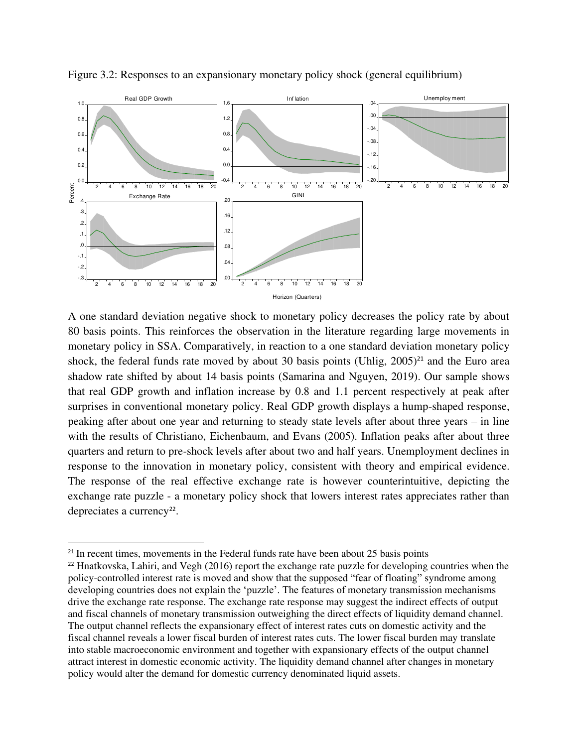

Figure 3.2: Responses to an expansionary monetary policy shock (general equilibrium)

A one standard deviation negative shock to monetary policy decreases the policy rate by about 80 basis points. This reinforces the observation in the literature regarding large movements in monetary policy in SSA. Comparatively, in reaction to a one standard deviation monetary policy shock, the federal funds rate moved by about 30 basis points (Uhlig,  $2005)^{21}$  and the Euro area shadow rate shifted by about 14 basis points (Samarina and Nguyen, 2019). Our sample shows that real GDP growth and inflation increase by 0.8 and 1.1 percent respectively at peak after surprises in conventional monetary policy. Real GDP growth displays a hump-shaped response, peaking after about one year and returning to steady state levels after about three years – in line with the results of Christiano, Eichenbaum, and Evans (2005). Inflation peaks after about three quarters and return to pre-shock levels after about two and half years. Unemployment declines in response to the innovation in monetary policy, consistent with theory and empirical evidence. The response of the real effective exchange rate is however counterintuitive, depicting the exchange rate puzzle - a monetary policy shock that lowers interest rates appreciates rather than depreciates a currency<sup>22</sup>.

<sup>&</sup>lt;sup>21</sup> In recent times, movements in the Federal funds rate have been about 25 basis points

<sup>22</sup> Hnatkovska, Lahiri, and Vegh (2016) report the exchange rate puzzle for developing countries when the policy-controlled interest rate is moved and show that the supposed "fear of floating" syndrome among developing countries does not explain the 'puzzle'. The features of monetary transmission mechanisms drive the exchange rate response. The exchange rate response may suggest the indirect effects of output and fiscal channels of monetary transmission outweighing the direct effects of liquidity demand channel. The output channel reflects the expansionary effect of interest rates cuts on domestic activity and the fiscal channel reveals a lower fiscal burden of interest rates cuts. The lower fiscal burden may translate into stable macroeconomic environment and together with expansionary effects of the output channel attract interest in domestic economic activity. The liquidity demand channel after changes in monetary policy would alter the demand for domestic currency denominated liquid assets.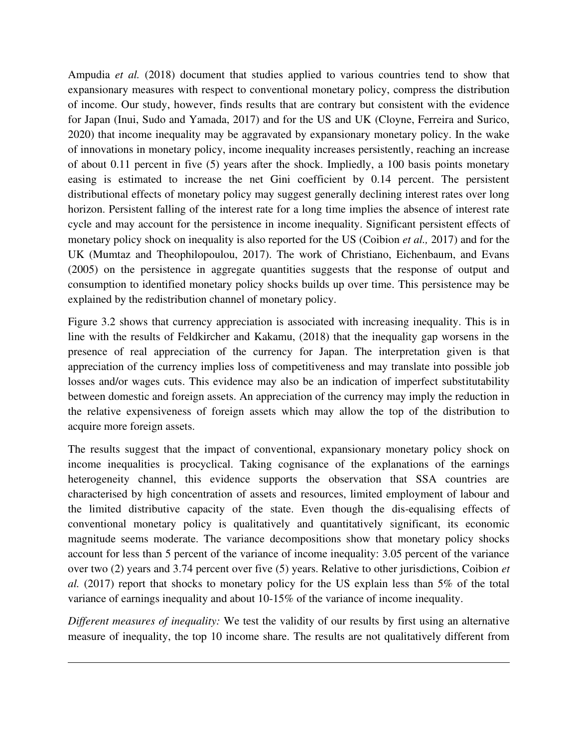Ampudia *et al.* (2018) document that studies applied to various countries tend to show that expansionary measures with respect to conventional monetary policy, compress the distribution of income. Our study, however, finds results that are contrary but consistent with the evidence for Japan (Inui, Sudo and Yamada, 2017) and for the US and UK (Cloyne, Ferreira and Surico, 2020) that income inequality may be aggravated by expansionary monetary policy. In the wake of innovations in monetary policy, income inequality increases persistently, reaching an increase of about 0.11 percent in five (5) years after the shock. Impliedly, a 100 basis points monetary easing is estimated to increase the net Gini coefficient by 0.14 percent. The persistent distributional effects of monetary policy may suggest generally declining interest rates over long horizon. Persistent falling of the interest rate for a long time implies the absence of interest rate cycle and may account for the persistence in income inequality. Significant persistent effects of monetary policy shock on inequality is also reported for the US (Coibion *et al.,* 2017) and for the UK (Mumtaz and Theophilopoulou, 2017). The work of Christiano, Eichenbaum, and Evans (2005) on the persistence in aggregate quantities suggests that the response of output and consumption to identified monetary policy shocks builds up over time. This persistence may be explained by the redistribution channel of monetary policy.

Figure 3.2 shows that currency appreciation is associated with increasing inequality. This is in line with the results of Feldkircher and Kakamu, (2018) that the inequality gap worsens in the presence of real appreciation of the currency for Japan. The interpretation given is that appreciation of the currency implies loss of competitiveness and may translate into possible job losses and/or wages cuts. This evidence may also be an indication of imperfect substitutability between domestic and foreign assets. An appreciation of the currency may imply the reduction in the relative expensiveness of foreign assets which may allow the top of the distribution to acquire more foreign assets.

The results suggest that the impact of conventional, expansionary monetary policy shock on income inequalities is procyclical. Taking cognisance of the explanations of the earnings heterogeneity channel, this evidence supports the observation that SSA countries are characterised by high concentration of assets and resources, limited employment of labour and the limited distributive capacity of the state. Even though the dis-equalising effects of conventional monetary policy is qualitatively and quantitatively significant, its economic magnitude seems moderate. The variance decompositions show that monetary policy shocks account for less than 5 percent of the variance of income inequality: 3.05 percent of the variance over two (2) years and 3.74 percent over five (5) years. Relative to other jurisdictions, Coibion *et al.* (2017) report that shocks to monetary policy for the US explain less than 5% of the total variance of earnings inequality and about 10-15% of the variance of income inequality.

*Different measures of inequality:* We test the validity of our results by first using an alternative measure of inequality, the top 10 income share. The results are not qualitatively different from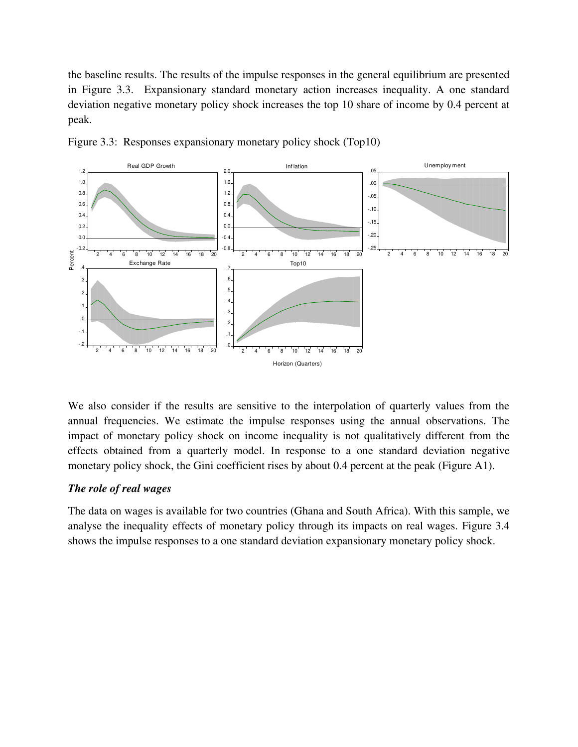the baseline results. The results of the impulse responses in the general equilibrium are presented in Figure 3.3. Expansionary standard monetary action increases inequality. A one standard deviation negative monetary policy shock increases the top 10 share of income by 0.4 percent at peak.





We also consider if the results are sensitive to the interpolation of quarterly values from the annual frequencies. We estimate the impulse responses using the annual observations. The impact of monetary policy shock on income inequality is not qualitatively different from the effects obtained from a quarterly model. In response to a one standard deviation negative monetary policy shock, the Gini coefficient rises by about 0.4 percent at the peak (Figure A1).

### *The role of real wages*

The data on wages is available for two countries (Ghana and South Africa). With this sample, we analyse the inequality effects of monetary policy through its impacts on real wages. Figure 3.4 shows the impulse responses to a one standard deviation expansionary monetary policy shock.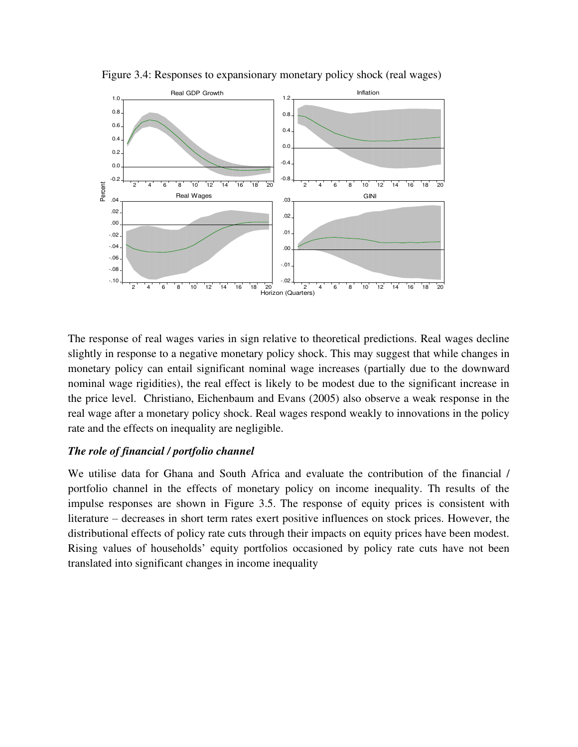

Figure 3.4: Responses to expansionary monetary policy shock (real wages)

The response of real wages varies in sign relative to theoretical predictions. Real wages decline slightly in response to a negative monetary policy shock. This may suggest that while changes in monetary policy can entail significant nominal wage increases (partially due to the downward nominal wage rigidities), the real effect is likely to be modest due to the significant increase in the price level. Christiano, Eichenbaum and Evans (2005) also observe a weak response in the real wage after a monetary policy shock. Real wages respond weakly to innovations in the policy rate and the effects on inequality are negligible.

#### *The role of financial / portfolio channel*

We utilise data for Ghana and South Africa and evaluate the contribution of the financial / portfolio channel in the effects of monetary policy on income inequality. Th results of the impulse responses are shown in Figure 3.5. The response of equity prices is consistent with literature – decreases in short term rates exert positive influences on stock prices. However, the distributional effects of policy rate cuts through their impacts on equity prices have been modest. Rising values of households' equity portfolios occasioned by policy rate cuts have not been translated into significant changes in income inequality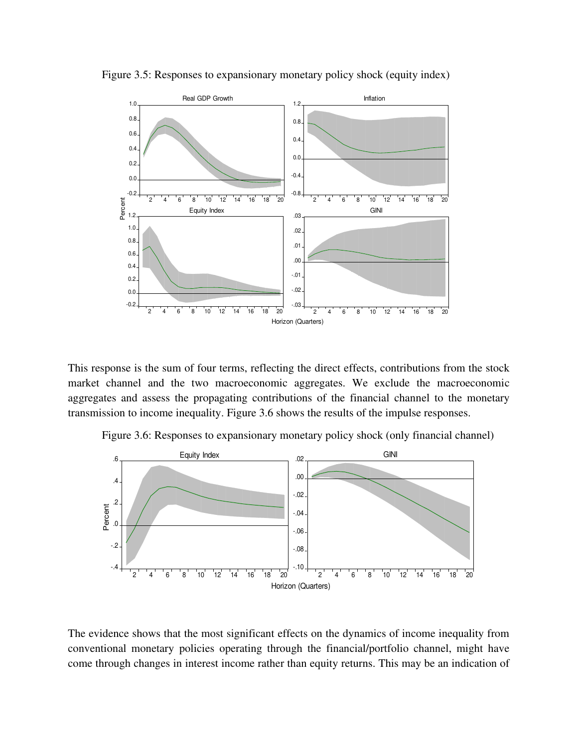

Figure 3.5: Responses to expansionary monetary policy shock (equity index)

This response is the sum of four terms, reflecting the direct effects, contributions from the stock market channel and the two macroeconomic aggregates. We exclude the macroeconomic aggregates and assess the propagating contributions of the financial channel to the monetary transmission to income inequality. Figure 3.6 shows the results of the impulse responses.

Figure 3.6: Responses to expansionary monetary policy shock (only financial channel)



The evidence shows that the most significant effects on the dynamics of income inequality from conventional monetary policies operating through the financial/portfolio channel, might have come through changes in interest income rather than equity returns. This may be an indication of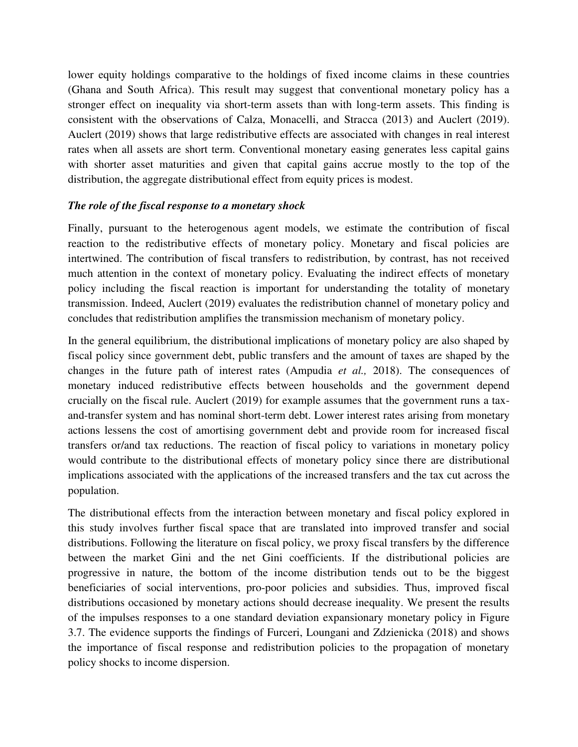lower equity holdings comparative to the holdings of fixed income claims in these countries (Ghana and South Africa). This result may suggest that conventional monetary policy has a stronger effect on inequality via short-term assets than with long-term assets. This finding is consistent with the observations of Calza, Monacelli, and Stracca (2013) and Auclert (2019). Auclert (2019) shows that large redistributive effects are associated with changes in real interest rates when all assets are short term. Conventional monetary easing generates less capital gains with shorter asset maturities and given that capital gains accrue mostly to the top of the distribution, the aggregate distributional effect from equity prices is modest.

### *The role of the fiscal response to a monetary shock*

Finally, pursuant to the heterogenous agent models, we estimate the contribution of fiscal reaction to the redistributive effects of monetary policy. Monetary and fiscal policies are intertwined. The contribution of fiscal transfers to redistribution, by contrast, has not received much attention in the context of monetary policy. Evaluating the indirect effects of monetary policy including the fiscal reaction is important for understanding the totality of monetary transmission. Indeed, Auclert (2019) evaluates the redistribution channel of monetary policy and concludes that redistribution amplifies the transmission mechanism of monetary policy.

In the general equilibrium, the distributional implications of monetary policy are also shaped by fiscal policy since government debt, public transfers and the amount of taxes are shaped by the changes in the future path of interest rates (Ampudia *et al.,* 2018). The consequences of monetary induced redistributive effects between households and the government depend crucially on the fiscal rule. Auclert (2019) for example assumes that the government runs a taxand-transfer system and has nominal short-term debt. Lower interest rates arising from monetary actions lessens the cost of amortising government debt and provide room for increased fiscal transfers or/and tax reductions. The reaction of fiscal policy to variations in monetary policy would contribute to the distributional effects of monetary policy since there are distributional implications associated with the applications of the increased transfers and the tax cut across the population.

The distributional effects from the interaction between monetary and fiscal policy explored in this study involves further fiscal space that are translated into improved transfer and social distributions. Following the literature on fiscal policy, we proxy fiscal transfers by the difference between the market Gini and the net Gini coefficients. If the distributional policies are progressive in nature, the bottom of the income distribution tends out to be the biggest beneficiaries of social interventions, pro-poor policies and subsidies. Thus, improved fiscal distributions occasioned by monetary actions should decrease inequality. We present the results of the impulses responses to a one standard deviation expansionary monetary policy in Figure 3.7. The evidence supports the findings of Furceri, Loungani and Zdzienicka (2018) and shows the importance of fiscal response and redistribution policies to the propagation of monetary policy shocks to income dispersion.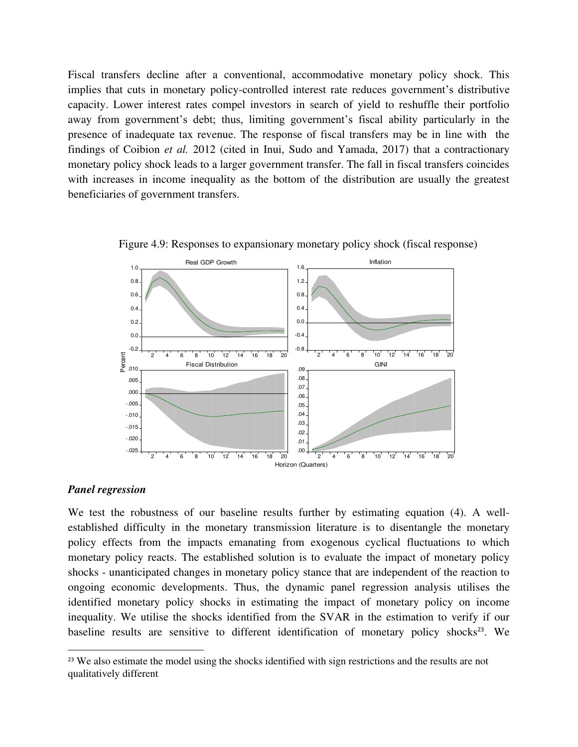Fiscal transfers decline after a conventional, accommodative monetary policy shock. This implies that cuts in monetary policy-controlled interest rate reduces government's distributive capacity. Lower interest rates compel investors in search of yield to reshuffle their portfolio away from government's debt; thus, limiting government's fiscal ability particularly in the presence of inadequate tax revenue. The response of fiscal transfers may be in line with the findings of Coibion *et al.* 2012 (cited in Inui, Sudo and Yamada, 2017) that a contractionary monetary policy shock leads to a larger government transfer. The fall in fiscal transfers coincides with increases in income inequality as the bottom of the distribution are usually the greatest beneficiaries of government transfers.



Figure 4.9: Responses to expansionary monetary policy shock (fiscal response)

#### *Panel regression*

We test the robustness of our baseline results further by estimating equation (4). A wellestablished difficulty in the monetary transmission literature is to disentangle the monetary policy effects from the impacts emanating from exogenous cyclical fluctuations to which monetary policy reacts. The established solution is to evaluate the impact of monetary policy shocks - unanticipated changes in monetary policy stance that are independent of the reaction to ongoing economic developments. Thus, the dynamic panel regression analysis utilises the identified monetary policy shocks in estimating the impact of monetary policy on income inequality. We utilise the shocks identified from the SVAR in the estimation to verify if our baseline results are sensitive to different identification of monetary policy shocks<sup>23</sup>. We

<sup>&</sup>lt;sup>23</sup> We also estimate the model using the shocks identified with sign restrictions and the results are not qualitatively different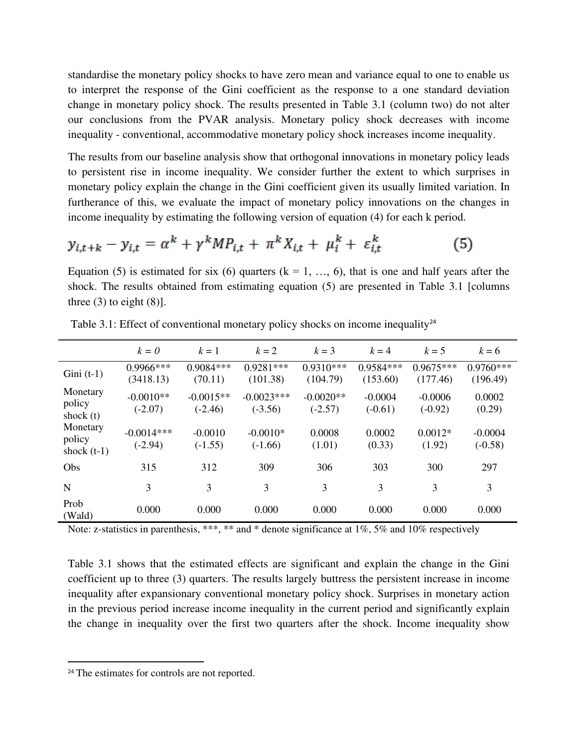standardise the monetary policy shocks to have zero mean and variance equal to one to enable us to interpret the response of the Gini coefficient as the response to a one standard deviation change in monetary policy shock. The results presented in Table 3.1 (column two) do not alter our conclusions from the PVAR analysis. Monetary policy shock decreases with income inequality - conventional, accommodative monetary policy shock increases income inequality.

The results from our baseline analysis show that orthogonal innovations in monetary policy leads to persistent rise in income inequality. We consider further the extent to which surprises in monetary policy explain the change in the Gini coefficient given its usually limited variation. In furtherance of this, we evaluate the impact of monetary policy innovations on the changes in income inequality by estimating the following version of equation (4) for each k period.

$$
y_{i,t+k} - y_{i,t} = \alpha^k + \gamma^k M P_{i,t} + \pi^k X_{i,t} + \mu_i^k + \varepsilon_{i,t}^k \tag{5}
$$

Equation (5) is estimated for six (6) quarters ( $k = 1, ..., 6$ ), that is one and half years after the shock. The results obtained from estimating equation (5) are presented in Table 3.1 [columns three  $(3)$  to eight  $(8)$ ].

|                                     | $k = 0$                   | $k=1$                    | $k=2$                     | $k=3$                    | $k = 4$                | $k=5$                   | $k = 6$                 |
|-------------------------------------|---------------------------|--------------------------|---------------------------|--------------------------|------------------------|-------------------------|-------------------------|
| $Gini(t-1)$                         | $0.9966$ ***<br>(3418.13) | $0.9084***$<br>(70.11)   | $0.9281***$<br>(101.38)   | $0.9310***$<br>(104.79)  | 0.9584***<br>(153.60)  | $0.9675***$<br>(177.46) | $0.9760***$<br>(196.49) |
| Monetary<br>policy<br>shock $(t)$   | $-0.0010**$<br>$(-2.07)$  | $-0.0015**$<br>$(-2.46)$ | $-0.0023***$<br>$(-3.56)$ | $-0.0020**$<br>$(-2.57)$ | $-0.0004$<br>$(-0.61)$ | $-0.0006$<br>$(-0.92)$  | 0.0002<br>(0.29)        |
| Monetary<br>policy<br>shock $(t-1)$ | $-0.0014***$<br>$(-2.94)$ | $-0.0010$<br>$(-1.55)$   | $-0.0010*$<br>$(-1.66)$   | 0.0008<br>(1.01)         | 0.0002<br>(0.33)       | $0.0012*$<br>(1.92)     | $-0.0004$<br>$(-0.58)$  |
| Obs                                 | 315                       | 312                      | 309                       | 306                      | 303                    | 300                     | 297                     |
| N                                   | 3                         | 3                        | 3                         | 3                        | 3                      | 3                       | 3                       |
| Prob<br>(Wald)                      | 0.000                     | 0.000                    | 0.000                     | 0.000                    | 0.000                  | 0.000                   | 0.000                   |

Table 3.1: Effect of conventional monetary policy shocks on income inequality<sup>24</sup>

Note: z-statistics in parenthesis, \*\*\*, \*\* and \* denote significance at 1%, 5% and 10% respectively

Table 3.1 shows that the estimated effects are significant and explain the change in the Gini coefficient up to three (3) quarters. The results largely buttress the persistent increase in income inequality after expansionary conventional monetary policy shock. Surprises in monetary action in the previous period increase income inequality in the current period and significantly explain the change in inequality over the first two quarters after the shock. Income inequality show

<sup>&</sup>lt;sup>24</sup> The estimates for controls are not reported.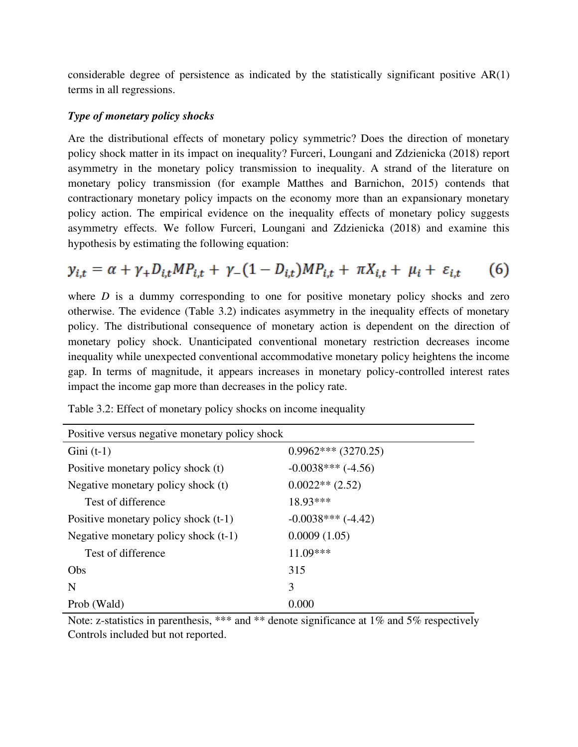considerable degree of persistence as indicated by the statistically significant positive AR(1) terms in all regressions.

### *Type of monetary policy shocks*

Are the distributional effects of monetary policy symmetric? Does the direction of monetary policy shock matter in its impact on inequality? Furceri, Loungani and Zdzienicka (2018) report asymmetry in the monetary policy transmission to inequality. A strand of the literature on monetary policy transmission (for example Matthes and Barnichon, 2015) contends that contractionary monetary policy impacts on the economy more than an expansionary monetary policy action. The empirical evidence on the inequality effects of monetary policy suggests asymmetry effects. We follow Furceri, Loungani and Zdzienicka (2018) and examine this hypothesis by estimating the following equation:

$$
y_{i,t} = \alpha + \gamma_+ D_{i,t} M P_{i,t} + \gamma_- (1 - D_{i,t}) M P_{i,t} + \pi X_{i,t} + \mu_i + \varepsilon_{i,t} \tag{6}
$$

where *D* is a dummy corresponding to one for positive monetary policy shocks and zero otherwise. The evidence (Table 3.2) indicates asymmetry in the inequality effects of monetary policy. The distributional consequence of monetary action is dependent on the direction of monetary policy shock. Unanticipated conventional monetary restriction decreases income inequality while unexpected conventional accommodative monetary policy heightens the income gap. In terms of magnitude, it appears increases in monetary policy-controlled interest rates impact the income gap more than decreases in the policy rate.

| Positive versus negative monetary policy shock |                       |  |  |
|------------------------------------------------|-----------------------|--|--|
| Gini $(t-1)$                                   | $0.9962***$ (3270.25) |  |  |
| Positive monetary policy shock (t)             | $-0.0038***$ (-4.56)  |  |  |
| Negative monetary policy shock (t)             | $0.0022**$ (2.52)     |  |  |
| Test of difference                             | 18.93***              |  |  |
| Positive monetary policy shock $(t-1)$         | $-0.0038***$ (-4.42)  |  |  |
| Negative monetary policy shock $(t-1)$         | 0.0009(1.05)          |  |  |
| Test of difference                             | $11.09***$            |  |  |
| Obs                                            | 315                   |  |  |
| N                                              | 3                     |  |  |
| Prob (Wald)                                    | 0.000                 |  |  |

Table 3.2: Effect of monetary policy shocks on income inequality

Note: z-statistics in parenthesis, \*\*\* and \*\* denote significance at 1% and 5% respectively Controls included but not reported.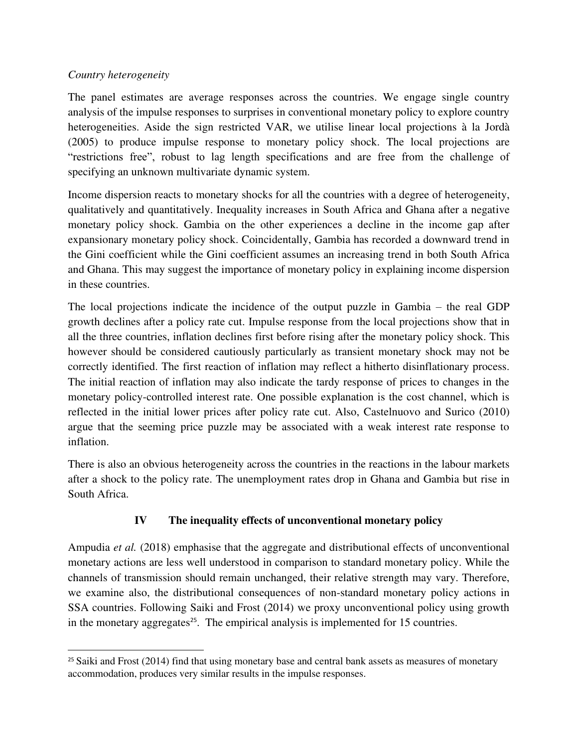### *Country heterogeneity*

The panel estimates are average responses across the countries. We engage single country analysis of the impulse responses to surprises in conventional monetary policy to explore country heterogeneities. Aside the sign restricted VAR, we utilise linear local projections à la Jordà (2005) to produce impulse response to monetary policy shock. The local projections are "restrictions free", robust to lag length specifications and are free from the challenge of specifying an unknown multivariate dynamic system.

Income dispersion reacts to monetary shocks for all the countries with a degree of heterogeneity, qualitatively and quantitatively. Inequality increases in South Africa and Ghana after a negative monetary policy shock. Gambia on the other experiences a decline in the income gap after expansionary monetary policy shock. Coincidentally, Gambia has recorded a downward trend in the Gini coefficient while the Gini coefficient assumes an increasing trend in both South Africa and Ghana. This may suggest the importance of monetary policy in explaining income dispersion in these countries.

The local projections indicate the incidence of the output puzzle in Gambia – the real GDP growth declines after a policy rate cut. Impulse response from the local projections show that in all the three countries, inflation declines first before rising after the monetary policy shock. This however should be considered cautiously particularly as transient monetary shock may not be correctly identified. The first reaction of inflation may reflect a hitherto disinflationary process. The initial reaction of inflation may also indicate the tardy response of prices to changes in the monetary policy-controlled interest rate. One possible explanation is the cost channel, which is reflected in the initial lower prices after policy rate cut. Also, Castelnuovo and Surico (2010) argue that the seeming price puzzle may be associated with a weak interest rate response to inflation.

There is also an obvious heterogeneity across the countries in the reactions in the labour markets after a shock to the policy rate. The unemployment rates drop in Ghana and Gambia but rise in South Africa.

### **IV The inequality effects of unconventional monetary policy**

Ampudia *et al.* (2018) emphasise that the aggregate and distributional effects of unconventional monetary actions are less well understood in comparison to standard monetary policy. While the channels of transmission should remain unchanged, their relative strength may vary. Therefore, we examine also, the distributional consequences of non-standard monetary policy actions in SSA countries. Following Saiki and Frost (2014) we proxy unconventional policy using growth in the monetary aggregates<sup>25</sup>. The empirical analysis is implemented for 15 countries.

<sup>&</sup>lt;sup>25</sup> Saiki and Frost (2014) find that using monetary base and central bank assets as measures of monetary accommodation, produces very similar results in the impulse responses.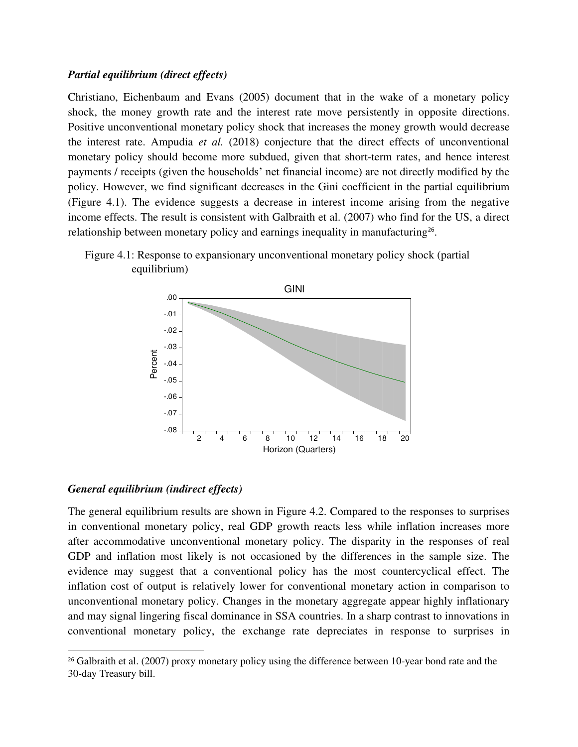#### *Partial equilibrium (direct effects)*

Christiano, Eichenbaum and Evans (2005) document that in the wake of a monetary policy shock, the money growth rate and the interest rate move persistently in opposite directions. Positive unconventional monetary policy shock that increases the money growth would decrease the interest rate. Ampudia *et al.* (2018) conjecture that the direct effects of unconventional monetary policy should become more subdued, given that short-term rates, and hence interest payments / receipts (given the households' net financial income) are not directly modified by the policy. However, we find significant decreases in the Gini coefficient in the partial equilibrium (Figure 4.1). The evidence suggests a decrease in interest income arising from the negative income effects. The result is consistent with Galbraith et al. (2007) who find for the US, a direct relationship between monetary policy and earnings inequality in manufacturing<sup>26</sup>.





#### *General equilibrium (indirect effects)*

The general equilibrium results are shown in Figure 4.2. Compared to the responses to surprises in conventional monetary policy, real GDP growth reacts less while inflation increases more after accommodative unconventional monetary policy. The disparity in the responses of real GDP and inflation most likely is not occasioned by the differences in the sample size. The evidence may suggest that a conventional policy has the most countercyclical effect. The inflation cost of output is relatively lower for conventional monetary action in comparison to unconventional monetary policy. Changes in the monetary aggregate appear highly inflationary and may signal lingering fiscal dominance in SSA countries. In a sharp contrast to innovations in conventional monetary policy, the exchange rate depreciates in response to surprises in

 $26$  Galbraith et al. (2007) proxy monetary policy using the difference between 10-year bond rate and the 30-day Treasury bill.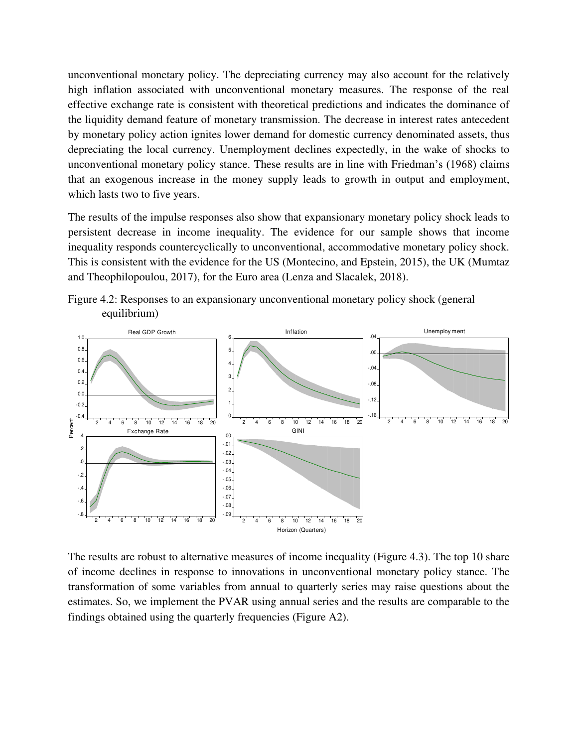unconventional monetary policy. The depreciating currency may also account for the relatively high inflation associated with unconventional monetary measures. The response of the real effective exchange rate is consistent with theoretical predictions and indicates the dominance of the liquidity demand feature of monetary transmission. The decrease in interest rates antecedent by monetary policy action ignites lower demand for domestic currency denominated assets, thus depreciating the local currency. Unemployment declines expectedly, in the wake of shocks to unconventional monetary policy stance. These results are in line with Friedman's (1968) claims that an exogenous increase in the money supply leads to growth in output and employment, which lasts two to five years.

The results of the impulse responses also show that expansionary monetary policy shock leads to persistent decrease in income inequality. The evidence for our sample shows that income inequality responds countercyclically to unconventional, accommodative monetary policy shock. This is consistent with the evidence for the US (Montecino, and Epstein, 2015), the UK (Mumtaz and Theophilopoulou, 2017), for the Euro area (Lenza and Slacalek, 2018).





The results are robust to alternative measures of income inequality (Figure 4.3). The top 10 share of income declines in response to innovations in unconventional monetary policy stance. The transformation of some variables from annual to quarterly series may raise questions about the estimates. So, we implement the PVAR using annual series and the results are comparable to the findings obtained using the quarterly frequencies (Figure A2).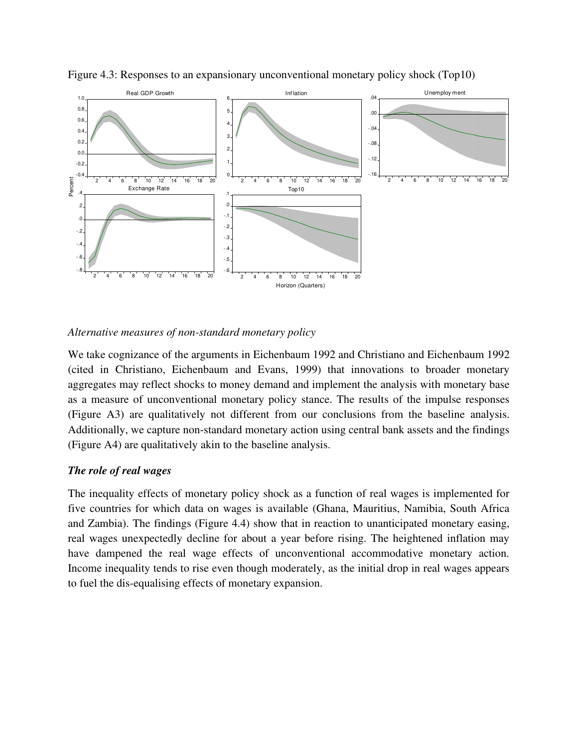

Figure 4.3: Responses to an expansionary unconventional monetary policy shock (Top10)

### *Alternative measures of non-standard monetary policy*

We take cognizance of the arguments in Eichenbaum 1992 and Christiano and Eichenbaum 1992 (cited in Christiano, Eichenbaum and Evans, 1999) that innovations to broader monetary aggregates may reflect shocks to money demand and implement the analysis with monetary base as a measure of unconventional monetary policy stance. The results of the impulse responses (Figure A3) are qualitatively not different from our conclusions from the baseline analysis. Additionally, we capture non-standard monetary action using central bank assets and the findings (Figure A4) are qualitatively akin to the baseline analysis.

#### *The role of real wages*

The inequality effects of monetary policy shock as a function of real wages is implemented for five countries for which data on wages is available (Ghana, Mauritius, Namibia, South Africa and Zambia). The findings (Figure 4.4) show that in reaction to unanticipated monetary easing, real wages unexpectedly decline for about a year before rising. The heightened inflation may have dampened the real wage effects of unconventional accommodative monetary action. Income inequality tends to rise even though moderately, as the initial drop in real wages appears to fuel the dis-equalising effects of monetary expansion.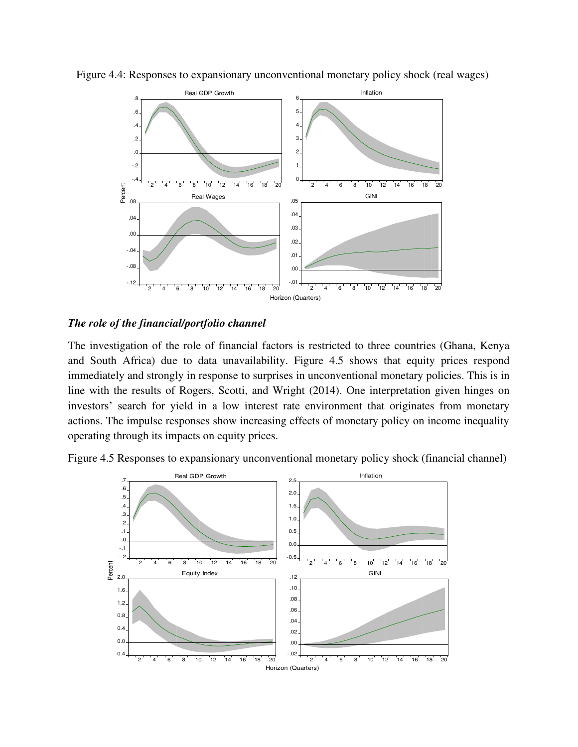

Figure 4.4: Responses to expansionary unconventional monetary policy shock (real wages)

#### *The role of the financial/portfolio channel*

The investigation of the role of financial factors is restricted to three countries (Ghana, Kenya and South Africa) due to data unavailability. Figure 4.5 shows that equity prices respond immediately and strongly in response to surprises in unconventional monetary policies. This is in line with the results of Rogers, Scotti, and Wright (2014). One interpretation given hinges on investors' search for yield in a low interest rate environment that originates from monetary actions. The impulse responses show increasing effects of monetary policy on income inequality operating through its impacts on equity prices.



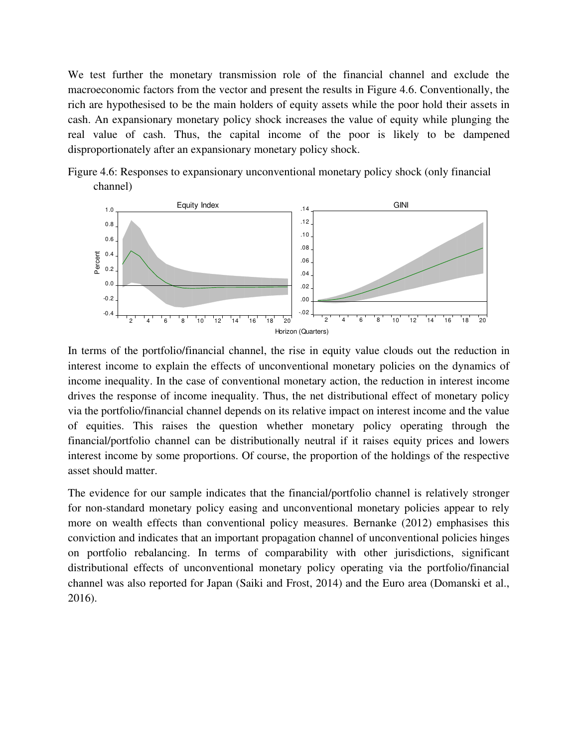We test further the monetary transmission role of the financial channel and exclude the macroeconomic factors from the vector and present the results in Figure 4.6. Conventionally, the rich are hypothesised to be the main holders of equity assets while the poor hold their assets in cash. An expansionary monetary policy shock increases the value of equity while plunging the real value of cash. Thus, the capital income of the poor is likely to be dampened disproportionately after an expansionary monetary policy shock.





In terms of the portfolio/financial channel, the rise in equity value clouds out the reduction in interest income to explain the effects of unconventional monetary policies on the dynamics of income inequality. In the case of conventional monetary action, the reduction in interest income drives the response of income inequality. Thus, the net distributional effect of monetary policy via the portfolio/financial channel depends on its relative impact on interest income and the value of equities. This raises the question whether monetary policy operating through the financial/portfolio channel can be distributionally neutral if it raises equity prices and lowers interest income by some proportions. Of course, the proportion of the holdings of the respective asset should matter.

The evidence for our sample indicates that the financial/portfolio channel is relatively stronger for non-standard monetary policy easing and unconventional monetary policies appear to rely more on wealth effects than conventional policy measures. Bernanke (2012) emphasises this conviction and indicates that an important propagation channel of unconventional policies hinges on portfolio rebalancing. In terms of comparability with other jurisdictions, significant distributional effects of unconventional monetary policy operating via the portfolio/financial channel was also reported for Japan (Saiki and Frost, 2014) and the Euro area (Domanski et al., 2016).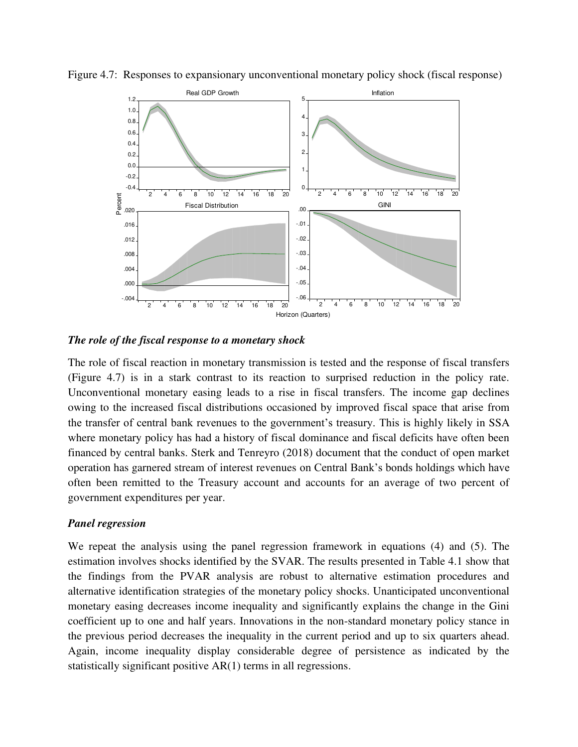

Figure 4.7: Responses to expansionary unconventional monetary policy shock (fiscal response)

*The role of the fiscal response to a monetary shock* 

The role of fiscal reaction in monetary transmission is tested and the response of fiscal transfers (Figure 4.7) is in a stark contrast to its reaction to surprised reduction in the policy rate. Unconventional monetary easing leads to a rise in fiscal transfers. The income gap declines owing to the increased fiscal distributions occasioned by improved fiscal space that arise from the transfer of central bank revenues to the government's treasury. This is highly likely in SSA where monetary policy has had a history of fiscal dominance and fiscal deficits have often been financed by central banks. Sterk and Tenreyro (2018) document that the conduct of open market operation has garnered stream of interest revenues on Central Bank's bonds holdings which have often been remitted to the Treasury account and accounts for an average of two percent of government expenditures per year.

#### *Panel regression*

We repeat the analysis using the panel regression framework in equations (4) and (5). The estimation involves shocks identified by the SVAR. The results presented in Table 4.1 show that the findings from the PVAR analysis are robust to alternative estimation procedures and alternative identification strategies of the monetary policy shocks. Unanticipated unconventional monetary easing decreases income inequality and significantly explains the change in the Gini coefficient up to one and half years. Innovations in the non-standard monetary policy stance in the previous period decreases the inequality in the current period and up to six quarters ahead. Again, income inequality display considerable degree of persistence as indicated by the statistically significant positive AR(1) terms in all regressions.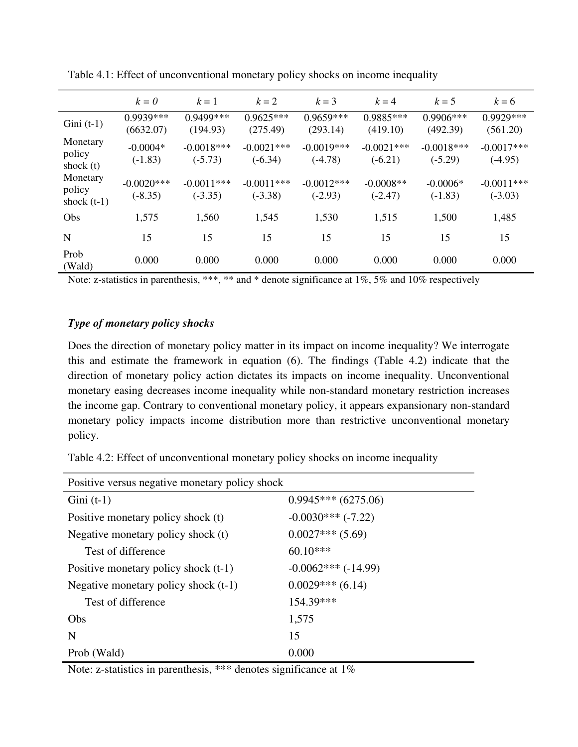|                                     | $k=0$                      | $k=1$                     | $k=2$                     | $k=3$                     | $k = 4$                   | $k=5$                     | $k = 6$                   |
|-------------------------------------|----------------------------|---------------------------|---------------------------|---------------------------|---------------------------|---------------------------|---------------------------|
| Gini $(t-1)$                        | $0.9939***$<br>(6632.07)   | $0.9499***$<br>(194.93)   | $0.9625***$<br>(275.49)   | $0.9659***$<br>(293.14)   | $0.9885***$<br>(419.10)   | $0.9906***$<br>(492.39)   | 0.9929***<br>(561.20)     |
| Monetary<br>policy<br>shock $(t)$   | $-0.0004*$<br>$(-1.83)$    | $-0.0018***$<br>$(-5.73)$ | $-0.0021***$<br>$(-6.34)$ | $-0.0019***$<br>$(-4.78)$ | $-0.0021***$<br>$(-6.21)$ | $-0.0018***$<br>$(-5.29)$ | $-0.0017***$<br>$(-4.95)$ |
| Monetary<br>policy<br>shock $(t-1)$ | $-0.0020$ ***<br>$(-8.35)$ | $-0.0011***$<br>$(-3.35)$ | $-0.0011***$<br>$(-3.38)$ | $-0.0012***$<br>$(-2.93)$ | $-0.0008**$<br>$(-2.47)$  | $-0.0006*$<br>$(-1.83)$   | $-0.0011***$<br>$(-3.03)$ |
| Obs                                 | 1,575                      | 1,560                     | 1,545                     | 1,530                     | 1,515                     | 1,500                     | 1,485                     |
| N                                   | 15                         | 15                        | 15                        | 15                        | 15                        | 15                        | 15                        |
| Prob<br>(Wald)                      | 0.000                      | 0.000                     | 0.000                     | 0.000                     | 0.000                     | 0.000                     | 0.000                     |

Table 4.1: Effect of unconventional monetary policy shocks on income inequality

Note: z-statistics in parenthesis, \*\*\*, \*\* and \* denote significance at 1%, 5% and 10% respectively

### *Type of monetary policy shocks*

Does the direction of monetary policy matter in its impact on income inequality? We interrogate this and estimate the framework in equation (6). The findings (Table 4.2) indicate that the direction of monetary policy action dictates its impacts on income inequality. Unconventional monetary easing decreases income inequality while non-standard monetary restriction increases the income gap. Contrary to conventional monetary policy, it appears expansionary non-standard monetary policy impacts income distribution more than restrictive unconventional monetary policy.

Table 4.2: Effect of unconventional monetary policy shocks on income inequality

| Positive versus negative monetary policy shock |                       |  |  |
|------------------------------------------------|-----------------------|--|--|
| $Gini$ (t-1)                                   | $0.9945***$ (6275.06) |  |  |
| Positive monetary policy shock (t)             | $-0.0030***(-7.22)$   |  |  |
| Negative monetary policy shock (t)             | $0.0027***$ (5.69)    |  |  |
| Test of difference                             | $60.10***$            |  |  |
| Positive monetary policy shock $(t-1)$         | $-0.0062***(-14.99)$  |  |  |
| Negative monetary policy shock (t-1)           | $0.0029***$ (6.14)    |  |  |
| Test of difference                             | 154.39***             |  |  |
| Obs                                            | 1,575                 |  |  |
| N                                              | 15                    |  |  |
| Prob (Wald)                                    | 0.000                 |  |  |

Note: z-statistics in parenthesis, \*\*\* denotes significance at 1%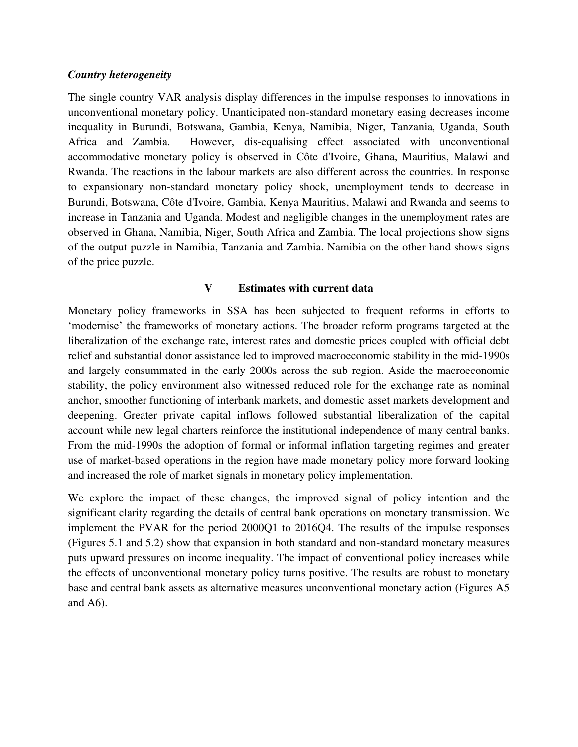### *Country heterogeneity*

The single country VAR analysis display differences in the impulse responses to innovations in unconventional monetary policy. Unanticipated non-standard monetary easing decreases income inequality in Burundi, Botswana, Gambia, Kenya, Namibia, Niger, Tanzania, Uganda, South Africa and Zambia. However, dis-equalising effect associated with unconventional accommodative monetary policy is observed in Côte d'Ivoire, Ghana, Mauritius, Malawi and Rwanda. The reactions in the labour markets are also different across the countries. In response to expansionary non-standard monetary policy shock, unemployment tends to decrease in Burundi, Botswana, Côte d'Ivoire, Gambia, Kenya Mauritius, Malawi and Rwanda and seems to increase in Tanzania and Uganda. Modest and negligible changes in the unemployment rates are observed in Ghana, Namibia, Niger, South Africa and Zambia. The local projections show signs of the output puzzle in Namibia, Tanzania and Zambia. Namibia on the other hand shows signs of the price puzzle.

### **V Estimates with current data**

Monetary policy frameworks in SSA has been subjected to frequent reforms in efforts to 'modernise' the frameworks of monetary actions. The broader reform programs targeted at the liberalization of the exchange rate, interest rates and domestic prices coupled with official debt relief and substantial donor assistance led to improved macroeconomic stability in the mid-1990s and largely consummated in the early 2000s across the sub region. Aside the macroeconomic stability, the policy environment also witnessed reduced role for the exchange rate as nominal anchor, smoother functioning of interbank markets, and domestic asset markets development and deepening. Greater private capital inflows followed substantial liberalization of the capital account while new legal charters reinforce the institutional independence of many central banks. From the mid-1990s the adoption of formal or informal inflation targeting regimes and greater use of market-based operations in the region have made monetary policy more forward looking and increased the role of market signals in monetary policy implementation.

We explore the impact of these changes, the improved signal of policy intention and the significant clarity regarding the details of central bank operations on monetary transmission. We implement the PVAR for the period 2000Q1 to 2016Q4. The results of the impulse responses (Figures 5.1 and 5.2) show that expansion in both standard and non-standard monetary measures puts upward pressures on income inequality. The impact of conventional policy increases while the effects of unconventional monetary policy turns positive. The results are robust to monetary base and central bank assets as alternative measures unconventional monetary action (Figures A5 and A6).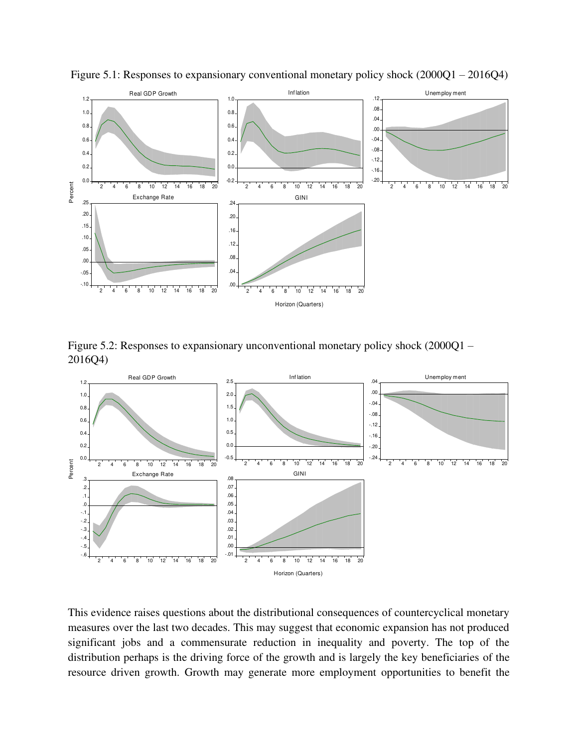

Figure 5.1: Responses to expansionary conventional monetary policy shock (2000Q1 – 2016Q4)

Figure 5.2: Responses to expansionary unconventional monetary policy shock (2000Q1 – 2016Q4)



This evidence raises questions about the distributional consequences of countercyclical monetary measures over the last two decades. This may suggest that economic expansion has not produced significant jobs and a commensurate reduction in inequality and poverty. The top of the distribution perhaps is the driving force of the growth and is largely the key beneficiaries of the resource driven growth. Growth may generate more employment opportunities to benefit the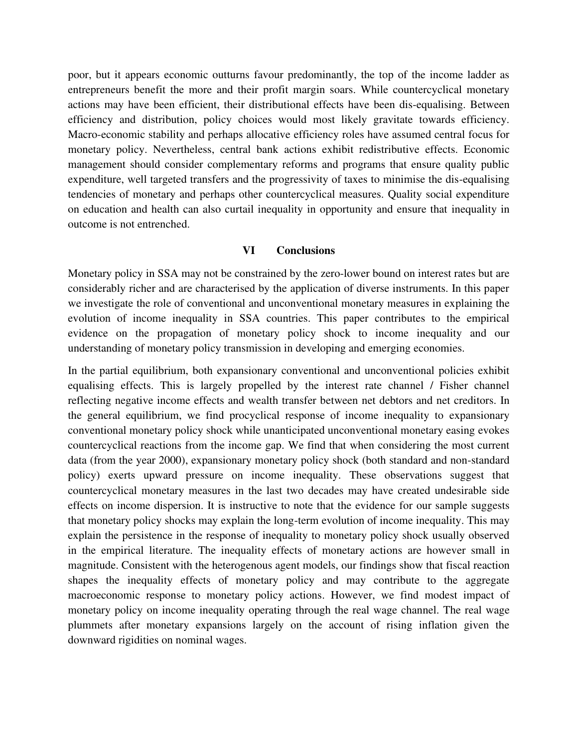poor, but it appears economic outturns favour predominantly, the top of the income ladder as entrepreneurs benefit the more and their profit margin soars. While countercyclical monetary actions may have been efficient, their distributional effects have been dis-equalising. Between efficiency and distribution, policy choices would most likely gravitate towards efficiency. Macro-economic stability and perhaps allocative efficiency roles have assumed central focus for monetary policy. Nevertheless, central bank actions exhibit redistributive effects. Economic management should consider complementary reforms and programs that ensure quality public expenditure, well targeted transfers and the progressivity of taxes to minimise the dis-equalising tendencies of monetary and perhaps other countercyclical measures. Quality social expenditure on education and health can also curtail inequality in opportunity and ensure that inequality in outcome is not entrenched.

#### **VI Conclusions**

Monetary policy in SSA may not be constrained by the zero-lower bound on interest rates but are considerably richer and are characterised by the application of diverse instruments. In this paper we investigate the role of conventional and unconventional monetary measures in explaining the evolution of income inequality in SSA countries. This paper contributes to the empirical evidence on the propagation of monetary policy shock to income inequality and our understanding of monetary policy transmission in developing and emerging economies.

In the partial equilibrium, both expansionary conventional and unconventional policies exhibit equalising effects. This is largely propelled by the interest rate channel / Fisher channel reflecting negative income effects and wealth transfer between net debtors and net creditors. In the general equilibrium, we find procyclical response of income inequality to expansionary conventional monetary policy shock while unanticipated unconventional monetary easing evokes countercyclical reactions from the income gap. We find that when considering the most current data (from the year 2000), expansionary monetary policy shock (both standard and non-standard policy) exerts upward pressure on income inequality. These observations suggest that countercyclical monetary measures in the last two decades may have created undesirable side effects on income dispersion. It is instructive to note that the evidence for our sample suggests that monetary policy shocks may explain the long-term evolution of income inequality. This may explain the persistence in the response of inequality to monetary policy shock usually observed in the empirical literature. The inequality effects of monetary actions are however small in magnitude. Consistent with the heterogenous agent models, our findings show that fiscal reaction shapes the inequality effects of monetary policy and may contribute to the aggregate macroeconomic response to monetary policy actions. However, we find modest impact of monetary policy on income inequality operating through the real wage channel. The real wage plummets after monetary expansions largely on the account of rising inflation given the downward rigidities on nominal wages.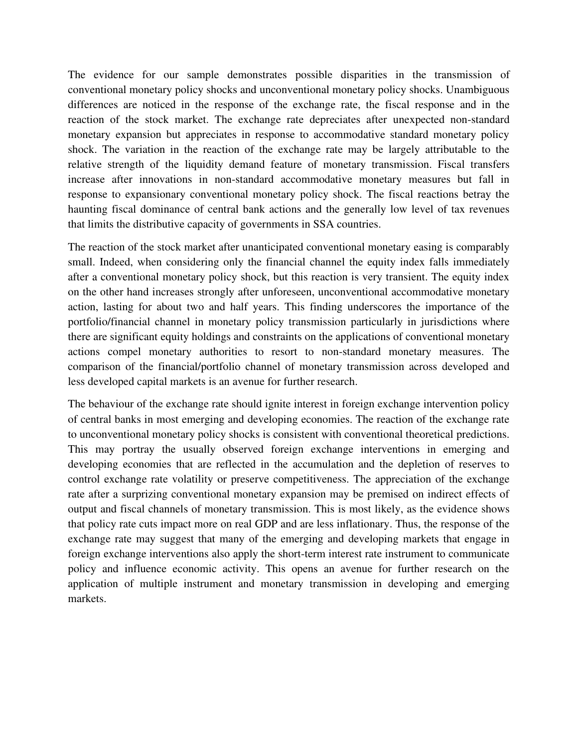The evidence for our sample demonstrates possible disparities in the transmission of conventional monetary policy shocks and unconventional monetary policy shocks. Unambiguous differences are noticed in the response of the exchange rate, the fiscal response and in the reaction of the stock market. The exchange rate depreciates after unexpected non-standard monetary expansion but appreciates in response to accommodative standard monetary policy shock. The variation in the reaction of the exchange rate may be largely attributable to the relative strength of the liquidity demand feature of monetary transmission. Fiscal transfers increase after innovations in non-standard accommodative monetary measures but fall in response to expansionary conventional monetary policy shock. The fiscal reactions betray the haunting fiscal dominance of central bank actions and the generally low level of tax revenues that limits the distributive capacity of governments in SSA countries.

The reaction of the stock market after unanticipated conventional monetary easing is comparably small. Indeed, when considering only the financial channel the equity index falls immediately after a conventional monetary policy shock, but this reaction is very transient. The equity index on the other hand increases strongly after unforeseen, unconventional accommodative monetary action, lasting for about two and half years. This finding underscores the importance of the portfolio/financial channel in monetary policy transmission particularly in jurisdictions where there are significant equity holdings and constraints on the applications of conventional monetary actions compel monetary authorities to resort to non-standard monetary measures. The comparison of the financial/portfolio channel of monetary transmission across developed and less developed capital markets is an avenue for further research.

The behaviour of the exchange rate should ignite interest in foreign exchange intervention policy of central banks in most emerging and developing economies. The reaction of the exchange rate to unconventional monetary policy shocks is consistent with conventional theoretical predictions. This may portray the usually observed foreign exchange interventions in emerging and developing economies that are reflected in the accumulation and the depletion of reserves to control exchange rate volatility or preserve competitiveness. The appreciation of the exchange rate after a surprizing conventional monetary expansion may be premised on indirect effects of output and fiscal channels of monetary transmission. This is most likely, as the evidence shows that policy rate cuts impact more on real GDP and are less inflationary. Thus, the response of the exchange rate may suggest that many of the emerging and developing markets that engage in foreign exchange interventions also apply the short-term interest rate instrument to communicate policy and influence economic activity. This opens an avenue for further research on the application of multiple instrument and monetary transmission in developing and emerging markets.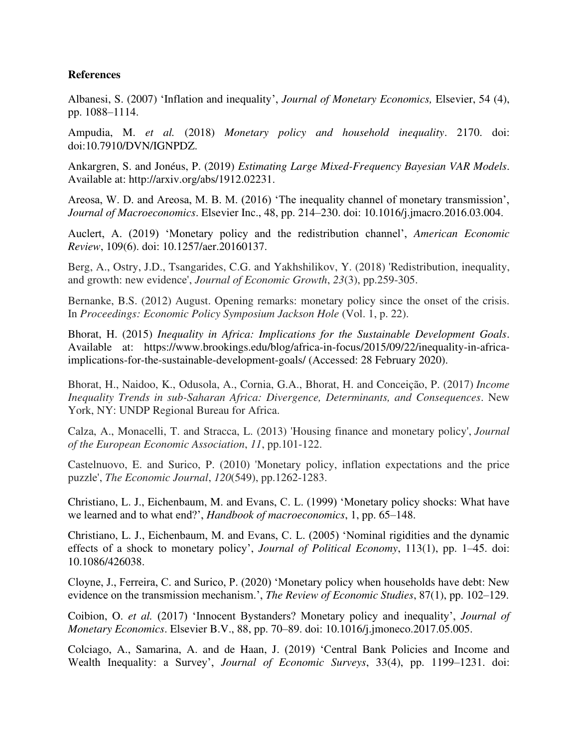### **References**

Albanesi, S. (2007) 'Inflation and inequality', *Journal of Monetary Economics,* Elsevier, 54 (4), pp. 1088–1114.

Ampudia, M. *et al.* (2018) *Monetary policy and household inequality*. 2170. doi: doi:10.7910/DVN/IGNPDZ.

Ankargren, S. and Jonéus, P. (2019) *Estimating Large Mixed-Frequency Bayesian VAR Models*. Available at: http://arxiv.org/abs/1912.02231.

Areosa, W. D. and Areosa, M. B. M. (2016) 'The inequality channel of monetary transmission', *Journal of Macroeconomics*. Elsevier Inc., 48, pp. 214–230. doi: 10.1016/j.jmacro.2016.03.004.

Auclert, A. (2019) 'Monetary policy and the redistribution channel', *American Economic Review*, 109(6). doi: 10.1257/aer.20160137.

Berg, A., Ostry, J.D., Tsangarides, C.G. and Yakhshilikov, Y. (2018) 'Redistribution, inequality, and growth: new evidence', *Journal of Economic Growth*, *23*(3), pp.259-305.

Bernanke, B.S. (2012) August. Opening remarks: monetary policy since the onset of the crisis. In *Proceedings: Economic Policy Symposium Jackson Hole* (Vol. 1, p. 22).

Bhorat, H. (2015) *Inequality in Africa: Implications for the Sustainable Development Goals*. Available at: https://www.brookings.edu/blog/africa-in-focus/2015/09/22/inequality-in-africaimplications-for-the-sustainable-development-goals/ (Accessed: 28 February 2020).

Bhorat, H., Naidoo, K., Odusola, A., Cornia, G.A., Bhorat, H. and Conceição, P. (2017) *Income Inequality Trends in sub-Saharan Africa: Divergence, Determinants, and Consequences*. New York, NY: UNDP Regional Bureau for Africa.

Calza, A., Monacelli, T. and Stracca, L. (2013) 'Housing finance and monetary policy', *Journal of the European Economic Association*, *11*, pp.101-122.

Castelnuovo, E. and Surico, P. (2010) 'Monetary policy, inflation expectations and the price puzzle', *The Economic Journal*, *120*(549), pp.1262-1283.

Christiano, L. J., Eichenbaum, M. and Evans, C. L. (1999) 'Monetary policy shocks: What have we learned and to what end?', *Handbook of macroeconomics*, 1, pp. 65–148.

Christiano, L. J., Eichenbaum, M. and Evans, C. L. (2005) 'Nominal rigidities and the dynamic effects of a shock to monetary policy', *Journal of Political Economy*, 113(1), pp. 1–45. doi: 10.1086/426038.

Cloyne, J., Ferreira, C. and Surico, P. (2020) 'Monetary policy when households have debt: New evidence on the transmission mechanism.', *The Review of Economic Studies*, 87(1), pp. 102–129.

Coibion, O. *et al.* (2017) 'Innocent Bystanders? Monetary policy and inequality', *Journal of Monetary Economics*. Elsevier B.V., 88, pp. 70–89. doi: 10.1016/j.jmoneco.2017.05.005.

Colciago, A., Samarina, A. and de Haan, J. (2019) 'Central Bank Policies and Income and Wealth Inequality: a Survey', *Journal of Economic Surveys*, 33(4), pp. 1199–1231. doi: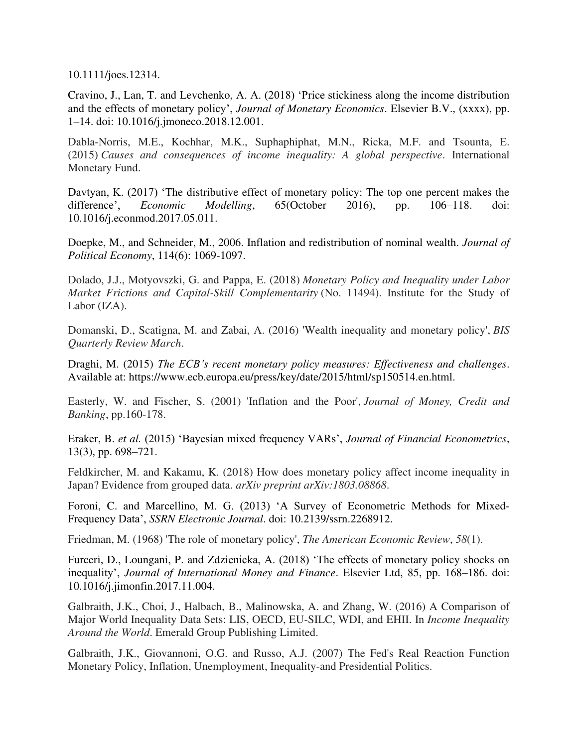10.1111/joes.12314.

Cravino, J., Lan, T. and Levchenko, A. A. (2018) 'Price stickiness along the income distribution and the effects of monetary policy', *Journal of Monetary Economics*. Elsevier B.V., (xxxx), pp. 1–14. doi: 10.1016/j.jmoneco.2018.12.001.

Dabla-Norris, M.E., Kochhar, M.K., Suphaphiphat, M.N., Ricka, M.F. and Tsounta, E. (2015) *Causes and consequences of income inequality: A global perspective*. International Monetary Fund.

Davtyan, K. (2017) 'The distributive effect of monetary policy: The top one percent makes the difference', *Economic Modelling*, 65(October 2016), pp. 106–118. doi: 10.1016/j.econmod.2017.05.011.

Doepke, M., and Schneider, M., 2006. Inflation and redistribution of nominal wealth. *Journal of Political Economy*, 114(6): 1069-1097.

Dolado, J.J., Motyovszki, G. and Pappa, E. (2018) *Monetary Policy and Inequality under Labor Market Frictions and Capital-Skill Complementarity* (No. 11494). Institute for the Study of Labor (IZA).

Domanski, D., Scatigna, M. and Zabai, A. (2016) 'Wealth inequality and monetary policy', *BIS Quarterly Review March*.

Draghi, M. (2015) *The ECB's recent monetary policy measures: Effectiveness and challenges*. Available at: https://www.ecb.europa.eu/press/key/date/2015/html/sp150514.en.html.

Easterly, W. and Fischer, S. (2001) 'Inflation and the Poor', *Journal of Money, Credit and Banking*, pp.160-178.

Eraker, B. *et al.* (2015) 'Bayesian mixed frequency VARs', *Journal of Financial Econometrics*, 13(3), pp. 698–721.

Feldkircher, M. and Kakamu, K. (2018) How does monetary policy affect income inequality in Japan? Evidence from grouped data. *arXiv preprint arXiv:1803.08868*.

Foroni, C. and Marcellino, M. G. (2013) 'A Survey of Econometric Methods for Mixed-Frequency Data', *SSRN Electronic Journal*. doi: 10.2139/ssrn.2268912.

Friedman, M. (1968) 'The role of monetary policy', *The American Economic Review*, *58*(1).

Furceri, D., Loungani, P. and Zdzienicka, A. (2018) 'The effects of monetary policy shocks on inequality', *Journal of International Money and Finance*. Elsevier Ltd, 85, pp. 168–186. doi: 10.1016/j.jimonfin.2017.11.004.

Galbraith, J.K., Choi, J., Halbach, B., Malinowska, A. and Zhang, W. (2016) A Comparison of Major World Inequality Data Sets: LIS, OECD, EU-SILC, WDI, and EHII. In *Income Inequality Around the World*. Emerald Group Publishing Limited.

Galbraith, J.K., Giovannoni, O.G. and Russo, A.J. (2007) The Fed's Real Reaction Function Monetary Policy, Inflation, Unemployment, Inequality-and Presidential Politics.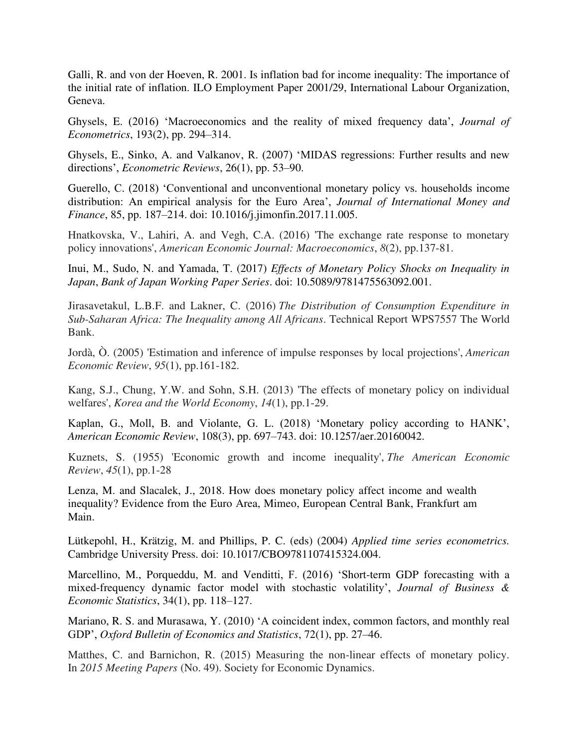Galli, R. and von der Hoeven, R. 2001. Is inflation bad for income inequality: The importance of the initial rate of inflation. ILO Employment Paper 2001/29, International Labour Organization, Geneva.

Ghysels, E. (2016) 'Macroeconomics and the reality of mixed frequency data', *Journal of Econometrics*, 193(2), pp. 294–314.

Ghysels, E., Sinko, A. and Valkanov, R. (2007) 'MIDAS regressions: Further results and new directions', *Econometric Reviews*, 26(1), pp. 53–90.

Guerello, C. (2018) 'Conventional and unconventional monetary policy vs. households income distribution: An empirical analysis for the Euro Area', *Journal of International Money and Finance*, 85, pp. 187–214. doi: 10.1016/j.jimonfin.2017.11.005.

Hnatkovska, V., Lahiri, A. and Vegh, C.A. (2016) 'The exchange rate response to monetary policy innovations', *American Economic Journal: Macroeconomics*, *8*(2), pp.137-81.

Inui, M., Sudo, N. and Yamada, T. (2017) *Effects of Monetary Policy Shocks on Inequality in Japan*, *Bank of Japan Working Paper Series*. doi: 10.5089/9781475563092.001.

Jirasavetakul, L.B.F. and Lakner, C. (2016) *The Distribution of Consumption Expenditure in Sub-Saharan Africa: The Inequality among All Africans*. Technical Report WPS7557 The World Bank.

Jordà, Ò. (2005) 'Estimation and inference of impulse responses by local projections', *American Economic Review*, *95*(1), pp.161-182.

Kang, S.J., Chung, Y.W. and Sohn, S.H. (2013) 'The effects of monetary policy on individual welfares', *Korea and the World Economy*, *14*(1), pp.1-29.

Kaplan, G., Moll, B. and Violante, G. L. (2018) 'Monetary policy according to HANK', *American Economic Review*, 108(3), pp. 697–743. doi: 10.1257/aer.20160042.

Kuznets, S. (1955) 'Economic growth and income inequality', *The American Economic Review*, *45*(1), pp.1-28

Lenza, M. and Slacalek, J., 2018. How does monetary policy affect income and wealth inequality? Evidence from the Euro Area, Mimeo, European Central Bank, Frankfurt am Main.

Lütkepohl, H., Krätzig, M. and Phillips, P. C. (eds) (2004) *Applied time series econometrics.* Cambridge University Press. doi: 10.1017/CBO9781107415324.004.

Marcellino, M., Porqueddu, M. and Venditti, F. (2016) 'Short-term GDP forecasting with a mixed-frequency dynamic factor model with stochastic volatility', *Journal of Business & Economic Statistics*, 34(1), pp. 118–127.

Mariano, R. S. and Murasawa, Y. (2010) 'A coincident index, common factors, and monthly real GDP', *Oxford Bulletin of Economics and Statistics*, 72(1), pp. 27–46.

Matthes, C. and Barnichon, R. (2015) Measuring the non-linear effects of monetary policy. In *2015 Meeting Papers* (No. 49). Society for Economic Dynamics.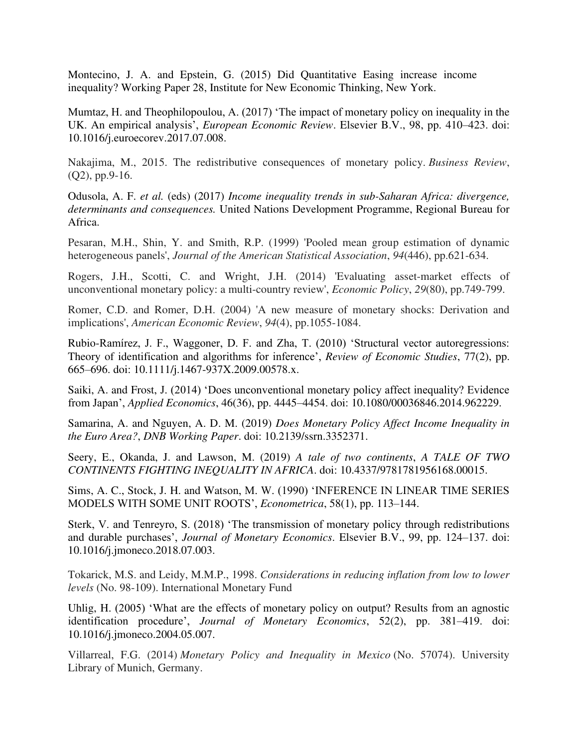Montecino, J. A. and Epstein, G. (2015) Did Quantitative Easing increase income inequality? Working Paper 28, Institute for New Economic Thinking, New York.

Mumtaz, H. and Theophilopoulou, A. (2017) 'The impact of monetary policy on inequality in the UK. An empirical analysis', *European Economic Review*. Elsevier B.V., 98, pp. 410–423. doi: 10.1016/j.euroecorev.2017.07.008.

Nakajima, M., 2015. The redistributive consequences of monetary policy. *Business Review*, (Q2), pp.9-16.

Odusola, A. F. *et al.* (eds) (2017) *Income inequality trends in sub-Saharan Africa: divergence, determinants and consequences.* United Nations Development Programme, Regional Bureau for Africa.

Pesaran, M.H., Shin, Y. and Smith, R.P. (1999) 'Pooled mean group estimation of dynamic heterogeneous panels', *Journal of the American Statistical Association*, *94*(446), pp.621-634.

Rogers, J.H., Scotti, C. and Wright, J.H. (2014) 'Evaluating asset-market effects of unconventional monetary policy: a multi-country review', *Economic Policy*, *29*(80), pp.749-799.

Romer, C.D. and Romer, D.H. (2004) 'A new measure of monetary shocks: Derivation and implications', *American Economic Review*, *94*(4), pp.1055-1084.

Rubio-Ramírez, J. F., Waggoner, D. F. and Zha, T. (2010) 'Structural vector autoregressions: Theory of identification and algorithms for inference', *Review of Economic Studies*, 77(2), pp. 665–696. doi: 10.1111/j.1467-937X.2009.00578.x.

Saiki, A. and Frost, J. (2014) 'Does unconventional monetary policy affect inequality? Evidence from Japan', *Applied Economics*, 46(36), pp. 4445–4454. doi: 10.1080/00036846.2014.962229.

Samarina, A. and Nguyen, A. D. M. (2019) *Does Monetary Policy Affect Income Inequality in the Euro Area?*, *DNB Working Paper*. doi: 10.2139/ssrn.3352371.

Seery, E., Okanda, J. and Lawson, M. (2019) *A tale of two continents*, *A TALE OF TWO CONTINENTS FIGHTING INEQUALITY IN AFRICA*. doi: 10.4337/9781781956168.00015.

Sims, A. C., Stock, J. H. and Watson, M. W. (1990) 'INFERENCE IN LINEAR TIME SERIES MODELS WITH SOME UNIT ROOTS', *Econometrica*, 58(1), pp. 113–144.

Sterk, V. and Tenreyro, S. (2018) 'The transmission of monetary policy through redistributions and durable purchases', *Journal of Monetary Economics*. Elsevier B.V., 99, pp. 124–137. doi: 10.1016/j.jmoneco.2018.07.003.

Tokarick, M.S. and Leidy, M.M.P., 1998. *Considerations in reducing inflation from low to lower levels* (No. 98-109). International Monetary Fund

Uhlig, H. (2005) 'What are the effects of monetary policy on output? Results from an agnostic identification procedure', *Journal of Monetary Economics*, 52(2), pp. 381–419. doi: 10.1016/j.jmoneco.2004.05.007.

Villarreal, F.G. (2014) *Monetary Policy and Inequality in Mexico* (No. 57074). University Library of Munich, Germany.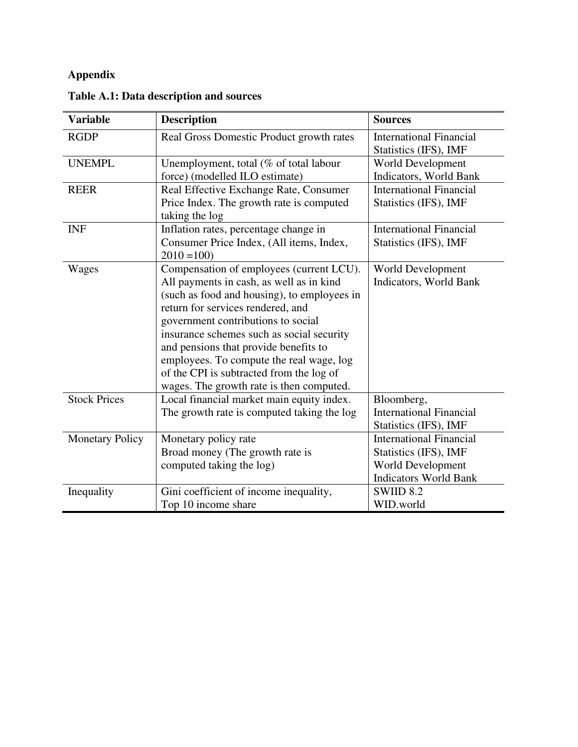# **Appendix**

| <b>Variable</b>        | <b>Description</b>                          | <b>Sources</b>                                          |
|------------------------|---------------------------------------------|---------------------------------------------------------|
| <b>RGDP</b>            | Real Gross Domestic Product growth rates    | <b>International Financial</b><br>Statistics (IFS), IMF |
| <b>UNEMPL</b>          | Unemployment, total (% of total labour      | World Development                                       |
|                        | force) (modelled ILO estimate)              | Indicators, World Bank                                  |
| <b>REER</b>            | Real Effective Exchange Rate, Consumer      | <b>International Financial</b>                          |
|                        | Price Index. The growth rate is computed    | Statistics (IFS), IMF                                   |
|                        | taking the log                              |                                                         |
| <b>INF</b>             | Inflation rates, percentage change in       | <b>International Financial</b>                          |
|                        | Consumer Price Index, (All items, Index,    | Statistics (IFS), IMF                                   |
|                        | $2010 = 100$                                |                                                         |
| Wages                  | Compensation of employees (current LCU).    | World Development                                       |
|                        | All payments in cash, as well as in kind    | <b>Indicators, World Bank</b>                           |
|                        | (such as food and housing), to employees in |                                                         |
|                        | return for services rendered, and           |                                                         |
|                        | government contributions to social          |                                                         |
|                        | insurance schemes such as social security   |                                                         |
|                        | and pensions that provide benefits to       |                                                         |
|                        | employees. To compute the real wage, log    |                                                         |
|                        | of the CPI is subtracted from the log of    |                                                         |
|                        | wages. The growth rate is then computed.    |                                                         |
| <b>Stock Prices</b>    | Local financial market main equity index.   | Bloomberg,                                              |
|                        | The growth rate is computed taking the log  | <b>International Financial</b>                          |
|                        |                                             | Statistics (IFS), IMF                                   |
| <b>Monetary Policy</b> | Monetary policy rate                        | <b>International Financial</b>                          |
|                        | Broad money (The growth rate is             | Statistics (IFS), IMF                                   |
|                        | computed taking the log)                    | World Development                                       |
|                        |                                             | <b>Indicators World Bank</b>                            |
| Inequality             | Gini coefficient of income inequality,      | SWIID 8.2                                               |
|                        | Top 10 income share                         | WID.world                                               |

# **Table A.1: Data description and sources**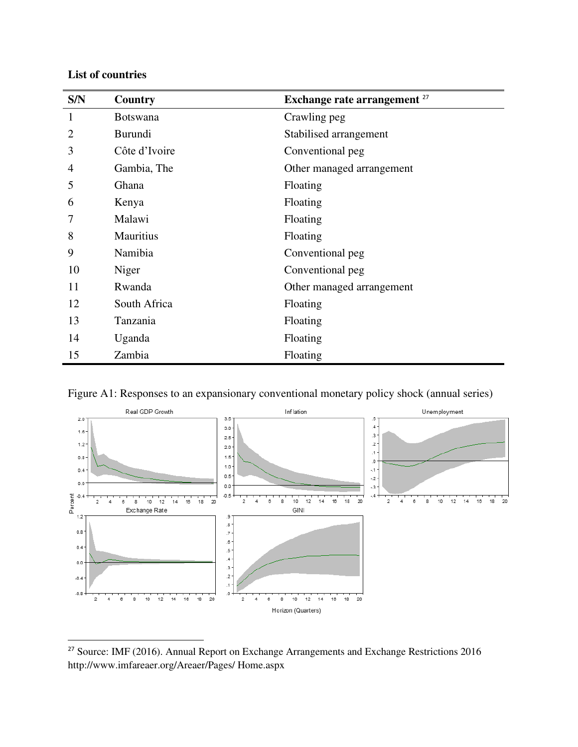### **List of countries**

| S/N            | Country          | Exchange rate arrangement <sup>27</sup> |
|----------------|------------------|-----------------------------------------|
| 1              | <b>Botswana</b>  | Crawling peg                            |
| $\overline{2}$ | Burundi          | Stabilised arrangement                  |
| 3              | Côte d'Ivoire    | Conventional peg                        |
| 4              | Gambia, The      | Other managed arrangement               |
| 5              | Ghana            | Floating                                |
| 6              | Kenya            | Floating                                |
| 7              | Malawi           | Floating                                |
| 8              | <b>Mauritius</b> | Floating                                |
| 9              | Namibia          | Conventional peg                        |
| 10             | Niger            | Conventional peg                        |
| 11             | Rwanda           | Other managed arrangement               |
| 12             | South Africa     | Floating                                |
| 13             | Tanzania         | Floating                                |
| 14             | Uganda           | Floating                                |
| 15             | Zambia           | Floating                                |

Figure A1: Responses to an expansionary conventional monetary policy shock (annual series)



<sup>&</sup>lt;sup>27</sup> Source: IMF (2016). Annual Report on Exchange Arrangements and Exchange Restrictions 2016 http://www.imfareaer.org/Areaer/Pages/ Home.aspx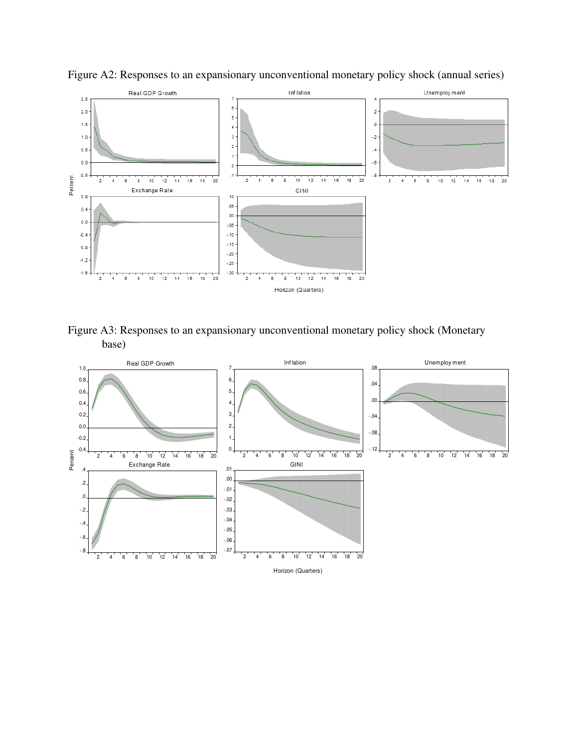

Figure A2: Responses to an expansionary unconventional monetary policy shock (annual series)

Figure A3: Responses to an expansionary unconventional monetary policy shock (Monetary base)

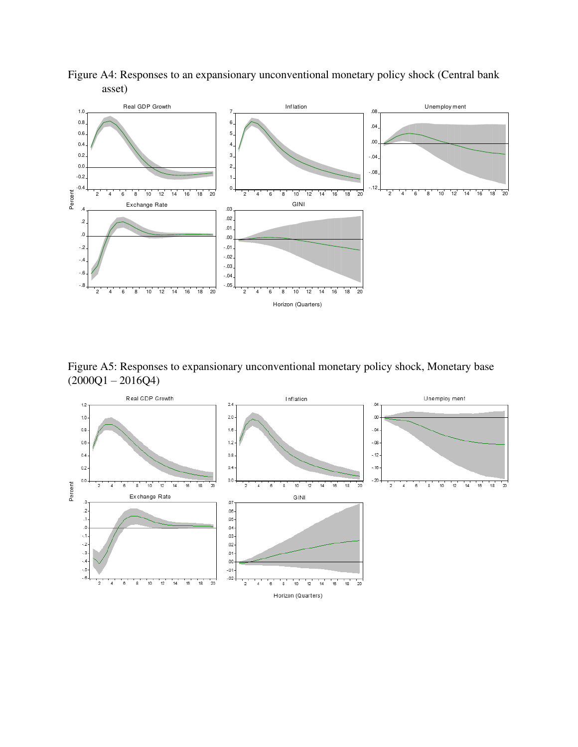

Figure A4: Responses to an expansionary unconventional monetary policy shock (Central bank asset)

Figure A5: Responses to expansionary unconventional monetary policy shock, Monetary base  $(2000Q1 - 2016Q4)$